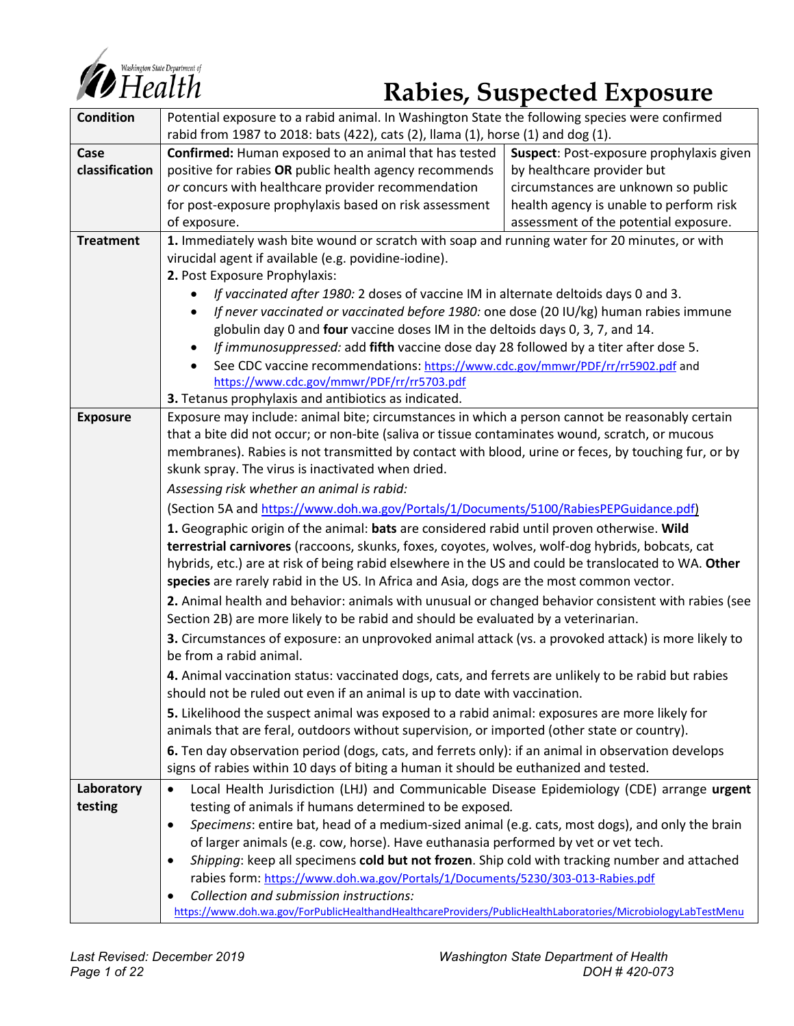

# *Consting ton State Department of*

| <b>Condition</b> | Potential exposure to a rabid animal. In Washington State the following species were confirmed                                                                                                         |                                          |  |  |  |  |  |
|------------------|--------------------------------------------------------------------------------------------------------------------------------------------------------------------------------------------------------|------------------------------------------|--|--|--|--|--|
|                  | rabid from 1987 to 2018: bats (422), cats (2), llama (1), horse (1) and dog (1).                                                                                                                       |                                          |  |  |  |  |  |
| Case             | Confirmed: Human exposed to an animal that has tested                                                                                                                                                  | Suspect: Post-exposure prophylaxis given |  |  |  |  |  |
| classification   | positive for rabies OR public health agency recommends                                                                                                                                                 | by healthcare provider but               |  |  |  |  |  |
|                  | or concurs with healthcare provider recommendation                                                                                                                                                     | circumstances are unknown so public      |  |  |  |  |  |
|                  | for post-exposure prophylaxis based on risk assessment                                                                                                                                                 | health agency is unable to perform risk  |  |  |  |  |  |
|                  | of exposure.                                                                                                                                                                                           | assessment of the potential exposure.    |  |  |  |  |  |
| <b>Treatment</b> | 1. Immediately wash bite wound or scratch with soap and running water for 20 minutes, or with                                                                                                          |                                          |  |  |  |  |  |
|                  | virucidal agent if available (e.g. povidine-iodine).                                                                                                                                                   |                                          |  |  |  |  |  |
|                  | 2. Post Exposure Prophylaxis:                                                                                                                                                                          |                                          |  |  |  |  |  |
|                  | If vaccinated after 1980: 2 doses of vaccine IM in alternate deltoids days 0 and 3.                                                                                                                    |                                          |  |  |  |  |  |
|                  | If never vaccinated or vaccinated before 1980: one dose (20 IU/kg) human rabies immune<br>٠                                                                                                            |                                          |  |  |  |  |  |
|                  | globulin day 0 and four vaccine doses IM in the deltoids days 0, 3, 7, and 14.                                                                                                                         |                                          |  |  |  |  |  |
|                  | If immunosuppressed: add fifth vaccine dose day 28 followed by a titer after dose 5.<br>$\bullet$                                                                                                      |                                          |  |  |  |  |  |
|                  | See CDC vaccine recommendations: https://www.cdc.gov/mmwr/PDF/rr/rr5902.pdf and                                                                                                                        |                                          |  |  |  |  |  |
|                  | https://www.cdc.gov/mmwr/PDF/rr/rr5703.pdf                                                                                                                                                             |                                          |  |  |  |  |  |
|                  | 3. Tetanus prophylaxis and antibiotics as indicated.                                                                                                                                                   |                                          |  |  |  |  |  |
| <b>Exposure</b>  | Exposure may include: animal bite; circumstances in which a person cannot be reasonably certain                                                                                                        |                                          |  |  |  |  |  |
|                  | that a bite did not occur; or non-bite (saliva or tissue contaminates wound, scratch, or mucous<br>membranes). Rabies is not transmitted by contact with blood, urine or feces, by touching fur, or by |                                          |  |  |  |  |  |
|                  | skunk spray. The virus is inactivated when dried.                                                                                                                                                      |                                          |  |  |  |  |  |
|                  |                                                                                                                                                                                                        |                                          |  |  |  |  |  |
|                  | Assessing risk whether an animal is rabid:                                                                                                                                                             |                                          |  |  |  |  |  |
|                  | (Section 5A and https://www.doh.wa.gov/Portals/1/Documents/5100/RabiesPEPGuidance.pdf)                                                                                                                 |                                          |  |  |  |  |  |
|                  | 1. Geographic origin of the animal: bats are considered rabid until proven otherwise. Wild                                                                                                             |                                          |  |  |  |  |  |
|                  | terrestrial carnivores (raccoons, skunks, foxes, coyotes, wolves, wolf-dog hybrids, bobcats, cat                                                                                                       |                                          |  |  |  |  |  |
|                  | hybrids, etc.) are at risk of being rabid elsewhere in the US and could be translocated to WA. Other                                                                                                   |                                          |  |  |  |  |  |
|                  | species are rarely rabid in the US. In Africa and Asia, dogs are the most common vector.                                                                                                               |                                          |  |  |  |  |  |
|                  | 2. Animal health and behavior: animals with unusual or changed behavior consistent with rabies (see<br>Section 2B) are more likely to be rabid and should be evaluated by a veterinarian.              |                                          |  |  |  |  |  |
|                  | 3. Circumstances of exposure: an unprovoked animal attack (vs. a provoked attack) is more likely to                                                                                                    |                                          |  |  |  |  |  |
|                  | be from a rabid animal.                                                                                                                                                                                |                                          |  |  |  |  |  |
|                  | 4. Animal vaccination status: vaccinated dogs, cats, and ferrets are unlikely to be rabid but rabies                                                                                                   |                                          |  |  |  |  |  |
|                  | should not be ruled out even if an animal is up to date with vaccination.                                                                                                                              |                                          |  |  |  |  |  |
|                  | 5. Likelihood the suspect animal was exposed to a rabid animal: exposures are more likely for                                                                                                          |                                          |  |  |  |  |  |
|                  | animals that are feral, outdoors without supervision, or imported (other state or country).                                                                                                            |                                          |  |  |  |  |  |
|                  | 6. Ten day observation period (dogs, cats, and ferrets only): if an animal in observation develops                                                                                                     |                                          |  |  |  |  |  |
|                  | signs of rabies within 10 days of biting a human it should be euthanized and tested.                                                                                                                   |                                          |  |  |  |  |  |
| Laboratory       | Local Health Jurisdiction (LHJ) and Communicable Disease Epidemiology (CDE) arrange urgent<br>$\bullet$                                                                                                |                                          |  |  |  |  |  |
| testing          | testing of animals if humans determined to be exposed.                                                                                                                                                 |                                          |  |  |  |  |  |
|                  | Specimens: entire bat, head of a medium-sized animal (e.g. cats, most dogs), and only the brain<br>$\bullet$                                                                                           |                                          |  |  |  |  |  |
|                  | of larger animals (e.g. cow, horse). Have euthanasia performed by vet or vet tech.                                                                                                                     |                                          |  |  |  |  |  |
|                  | Shipping: keep all specimens cold but not frozen. Ship cold with tracking number and attached<br>٠                                                                                                     |                                          |  |  |  |  |  |
|                  | rabies form: https://www.doh.wa.gov/Portals/1/Documents/5230/303-013-Rabies.pdf                                                                                                                        |                                          |  |  |  |  |  |
|                  | Collection and submission instructions:<br>$\bullet$                                                                                                                                                   |                                          |  |  |  |  |  |
|                  | https://www.doh.wa.gov/ForPublicHealthandHealthcareProviders/PublicHealthLaboratories/MicrobiologyLabTestMenu                                                                                          |                                          |  |  |  |  |  |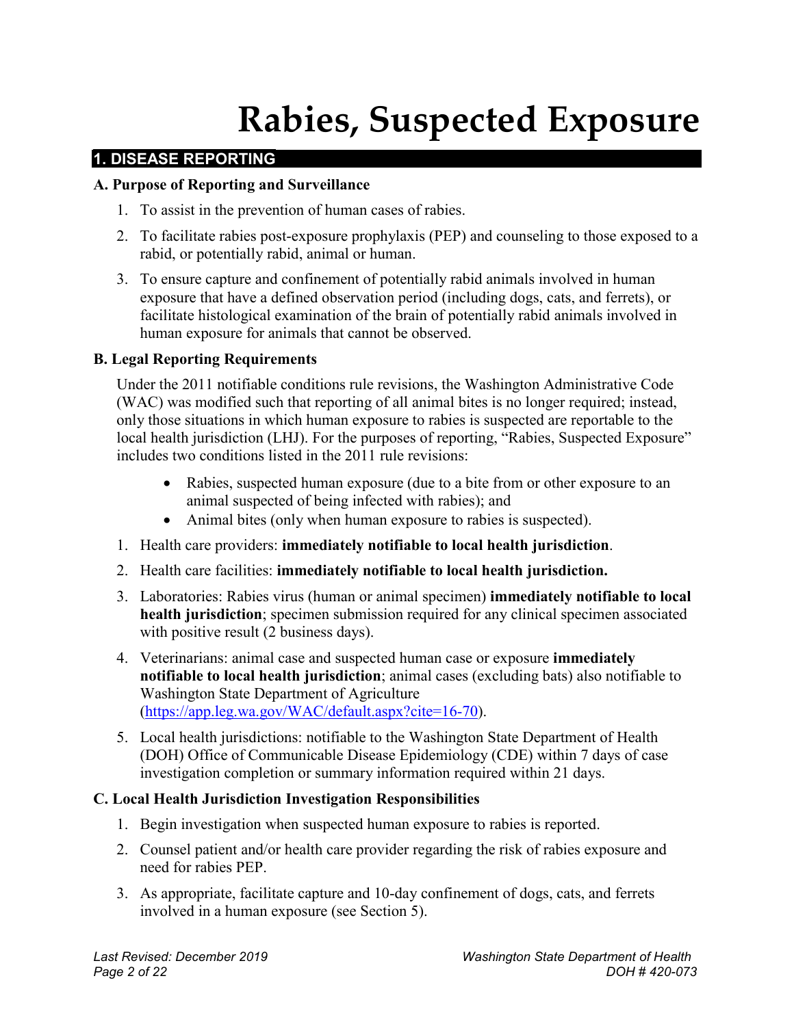# **Rabies, Suspected Exposure**

# **1. DISEASE REPORTING**

#### **A. Purpose of Reporting and Surveillance**

- 1. To assist in the prevention of human cases of rabies.
- 2. To facilitate rabies post-exposure prophylaxis (PEP) and counseling to those exposed to a rabid, or potentially rabid, animal or human.
- 3. To ensure capture and confinement of potentially rabid animals involved in human exposure that have a defined observation period (including dogs, cats, and ferrets), or facilitate histological examination of the brain of potentially rabid animals involved in human exposure for animals that cannot be observed.

#### **B. Legal Reporting Requirements**

Under the 2011 notifiable conditions rule revisions, the Washington Administrative Code (WAC) was modified such that reporting of all animal bites is no longer required; instead, only those situations in which human exposure to rabies is suspected are reportable to the local health jurisdiction (LHJ). For the purposes of reporting, "Rabies, Suspected Exposure" includes two conditions listed in the 2011 rule revisions:

- Rabies, suspected human exposure (due to a bite from or other exposure to an animal suspected of being infected with rabies); and
- Animal bites (only when human exposure to rabies is suspected).
- 1. Health care providers: **immediately notifiable to local health jurisdiction**.
- 2. Health care facilities: **immediately notifiable to local health jurisdiction.**
- 3. Laboratories: Rabies virus (human or animal specimen) **immediately notifiable to local health jurisdiction**; specimen submission required for any clinical specimen associated with positive result (2 business days).
- 4. Veterinarians: animal case and suspected human case or exposure **immediately notifiable to local health jurisdiction**; animal cases (excluding bats) also notifiable to Washington State Department of Agriculture [\(https://app.leg.wa.gov/WAC/default.aspx?cite=16-70\)](https://app.leg.wa.gov/WAC/default.aspx?cite=16-70).
- 5. Local health jurisdictions: notifiable to the Washington State Department of Health (DOH) Office of Communicable Disease Epidemiology (CDE) within 7 days of case investigation completion or summary information required within 21 days.

#### **C. Local Health Jurisdiction Investigation Responsibilities**

- 1. Begin investigation when suspected human exposure to rabies is reported.
- 2. Counsel patient and/or health care provider regarding the risk of rabies exposure and need for rabies PEP.
- 3. As appropriate, facilitate capture and 10-day confinement of dogs, cats, and ferrets involved in a human exposure (see Section 5).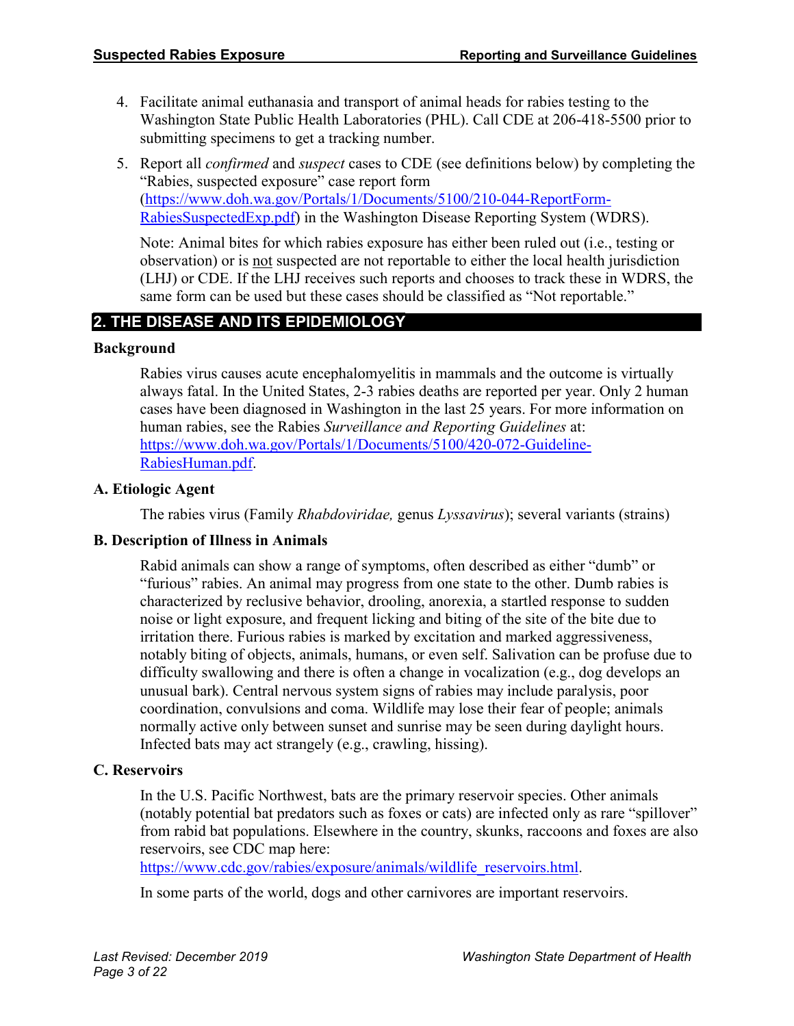- 4. Facilitate animal euthanasia and transport of animal heads for rabies testing to the Washington State Public Health Laboratories (PHL). Call CDE at 206-418-5500 prior to submitting specimens to get a tracking number.
- 5. Report all *confirmed* and *suspect* cases to CDE (see definitions below) by completing the "Rabies, suspected exposure" case report form [\(https://www.doh.wa.gov/Portals/1/Documents/5100/210-044-ReportForm-](https://www.doh.wa.gov/Portals/1/Documents/5100/210-044-ReportForm-RabiesSuspectedExp.pdf)[RabiesSuspectedExp.pdf\)](https://www.doh.wa.gov/Portals/1/Documents/5100/210-044-ReportForm-RabiesSuspectedExp.pdf) in the Washington Disease Reporting System (WDRS).

Note: Animal bites for which rabies exposure has either been ruled out (i.e., testing or observation) or is not suspected are not reportable to either the local health jurisdiction (LHJ) or CDE. If the LHJ receives such reports and chooses to track these in WDRS, the same form can be used but these cases should be classified as "Not reportable."

# **2. THE DISEASE AND ITS EPIDEMIOLOGY**

#### **Background**

Rabies virus causes acute encephalomyelitis in mammals and the outcome is virtually always fatal. In the United States, 2-3 rabies deaths are reported per year. Only 2 human cases have been diagnosed in Washington in the last 25 years. For more information on human rabies, see the Rabies *Surveillance and Reporting Guidelines* at: [https://www.doh.wa.gov/Portals/1/Documents/5100/420-072-Guideline-](https://www.doh.wa.gov/Portals/1/Documents/5100/420-072-Guideline-RabiesHuman.pdf)[RabiesHuman.pdf.](https://www.doh.wa.gov/Portals/1/Documents/5100/420-072-Guideline-RabiesHuman.pdf)

#### **A. Etiologic Agent**

The rabies virus (Family *Rhabdoviridae,* genus *Lyssavirus*); several variants (strains)

# **B. Description of Illness in Animals**

Rabid animals can show a range of symptoms, often described as either "dumb" or "furious" rabies. An animal may progress from one state to the other. Dumb rabies is characterized by reclusive behavior, drooling, anorexia, a startled response to sudden noise or light exposure, and frequent licking and biting of the site of the bite due to irritation there. Furious rabies is marked by excitation and marked aggressiveness, notably biting of objects, animals, humans, or even self. Salivation can be profuse due to difficulty swallowing and there is often a change in vocalization (e.g., dog develops an unusual bark). Central nervous system signs of rabies may include paralysis, poor coordination, convulsions and coma. Wildlife may lose their fear of people; animals normally active only between sunset and sunrise may be seen during daylight hours. Infected bats may act strangely (e.g., crawling, hissing).

#### **C. Reservoirs**

In the U.S. Pacific Northwest, bats are the primary reservoir species. Other animals (notably potential bat predators such as foxes or cats) are infected only as rare "spillover" from rabid bat populations. Elsewhere in the country, skunks, raccoons and foxes are also reservoirs, see CDC map here:

[https://www.cdc.gov/rabies/exposure/animals/wildlife\\_reservoirs.html.](https://www.cdc.gov/rabies/exposure/animals/wildlife_reservoirs.html)

In some parts of the world, dogs and other carnivores are important reservoirs.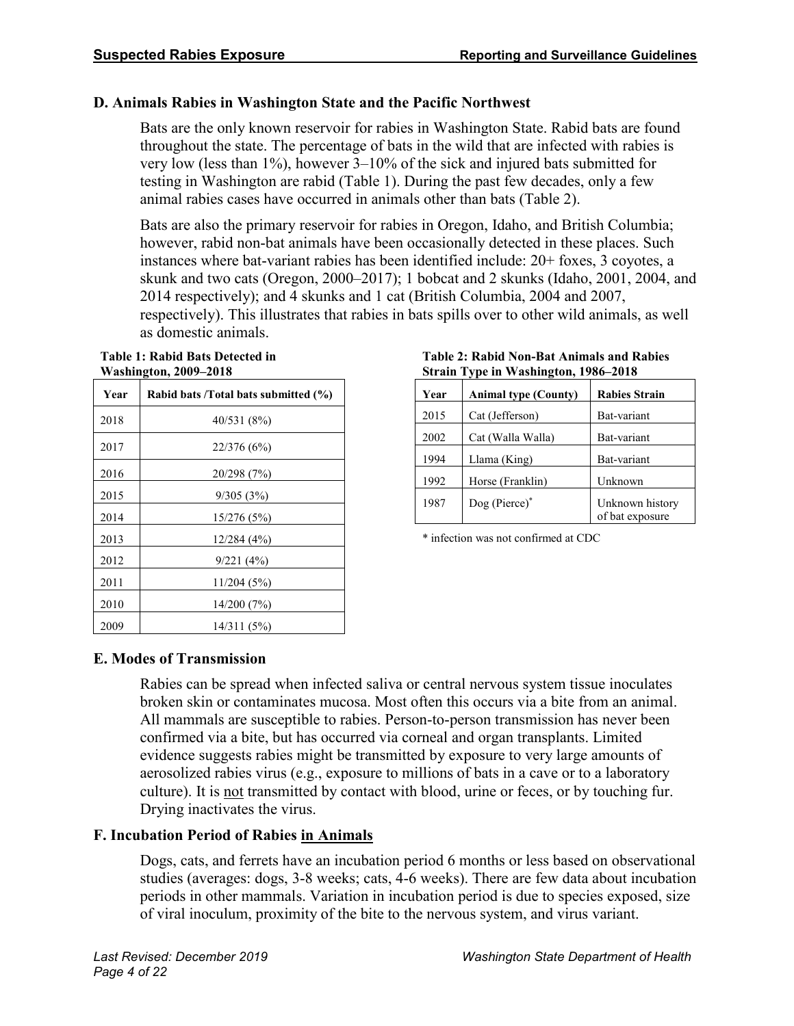#### **D. Animals Rabies in Washington State and the Pacific Northwest**

Bats are the only known reservoir for rabies in Washington State. Rabid bats are found throughout the state. The percentage of bats in the wild that are infected with rabies is very low (less than 1%), however 3–10% of the sick and injured bats submitted for testing in Washington are rabid (Table 1). During the past few decades, only a few animal rabies cases have occurred in animals other than bats (Table 2).

Bats are also the primary reservoir for rabies in Oregon, Idaho, and British Columbia; however, rabid non-bat animals have been occasionally detected in these places. Such instances where bat-variant rabies has been identified include: 20+ foxes, 3 coyotes, a skunk and two cats (Oregon, 2000–2017); 1 bobcat and 2 skunks (Idaho, 2001, 2004, and 2014 respectively); and 4 skunks and 1 cat (British Columbia, 2004 and 2007, respectively). This illustrates that rabies in bats spills over to other wild animals, as well as domestic animals.

**Table 1: Rabid Bats Detected in Washington, 2009–2018**

| Year | Rabid bats /Total bats submitted (%) |  |  |  |  |  |
|------|--------------------------------------|--|--|--|--|--|
| 2018 | 40/531 (8%)                          |  |  |  |  |  |
| 2017 | 22/376 (6%)                          |  |  |  |  |  |
| 2016 | 20/298 (7%)                          |  |  |  |  |  |
| 2015 | 9/305(3%)                            |  |  |  |  |  |
| 2014 | 15/276 (5%)                          |  |  |  |  |  |
| 2013 | 12/284(4%)                           |  |  |  |  |  |
| 2012 | 9/221(4%)                            |  |  |  |  |  |
| 2011 | 11/204(5%)                           |  |  |  |  |  |
| 2010 | 14/200 (7%)                          |  |  |  |  |  |
| 2009 | 14/311 (5%)                          |  |  |  |  |  |

**Table 2: Rabid Non-Bat Animals and Rabies Strain Type in Washington, 1986–2018**

| Year | <b>Animal type (County)</b> | <b>Rabies Strain</b>               |
|------|-----------------------------|------------------------------------|
| 2015 | Cat (Jefferson)             | Bat-variant                        |
| 2002 | Cat (Walla Walla)           | Bat-variant                        |
| 1994 | Llama (King)                | Bat-variant                        |
| 1992 | Horse (Franklin)            | Unknown                            |
| 1987 | $Dog (Picrce)*$             | Unknown history<br>of bat exposure |

\* infection was not confirmed at CDC

# **E. Modes of Transmission**

Rabies can be spread when infected saliva or central nervous system tissue inoculates broken skin or contaminates mucosa. Most often this occurs via a bite from an animal. All mammals are susceptible to rabies. Person-to-person transmission has never been confirmed via a bite, but has occurred via corneal and organ transplants. Limited evidence suggests rabies might be transmitted by exposure to very large amounts of aerosolized rabies virus (e.g., exposure to millions of bats in a cave or to a laboratory culture). It is not transmitted by contact with blood, urine or feces, or by touching fur. Drying inactivates the virus.

# **F. Incubation Period of Rabies in Animals**

Dogs, cats, and ferrets have an incubation period 6 months or less based on observational studies (averages: dogs, 3-8 weeks; cats, 4-6 weeks). There are few data about incubation periods in other mammals. Variation in incubation period is due to species exposed, size of viral inoculum, proximity of the bite to the nervous system, and virus variant.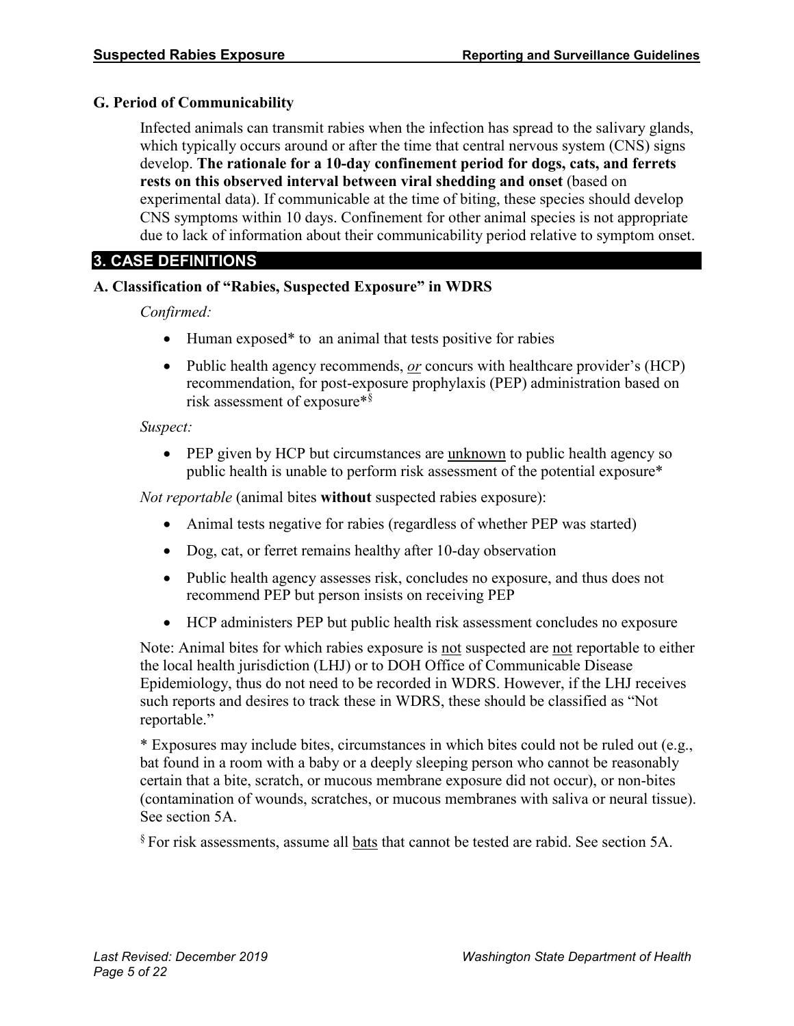#### **G. Period of Communicability**

Infected animals can transmit rabies when the infection has spread to the salivary glands, which typically occurs around or after the time that central nervous system (CNS) signs develop. **The rationale for a 10-day confinement period for dogs, cats, and ferrets rests on this observed interval between viral shedding and onset** (based on experimental data). If communicable at the time of biting, these species should develop CNS symptoms within 10 days. Confinement for other animal species is not appropriate due to lack of information about their communicability period relative to symptom onset.

# **3. CASE DEFINITIONS**

#### **A. Classification of "Rabies, Suspected Exposure" in WDRS**

*Confirmed:*

- Human exposed\* to an animal that tests positive for rabies
- Public health agency recommends, <u>*or*</u> concurs with healthcare provider's (HCP) recommendation, for post-exposure prophylaxis (PEP) administration based on risk assessment of exposure\*§

#### *Suspect:*

• PEP given by HCP but circumstances are unknown to public health agency so public health is unable to perform risk assessment of the potential exposure\*

*Not reportable* (animal bites **without** suspected rabies exposure):

- Animal tests negative for rabies (regardless of whether PEP was started)
- Dog, cat, or ferret remains healthy after 10-day observation
- Public health agency assesses risk, concludes no exposure, and thus does not recommend PEP but person insists on receiving PEP
- HCP administers PEP but public health risk assessment concludes no exposure

Note: Animal bites for which rabies exposure is not suspected are not reportable to either the local health jurisdiction (LHJ) or to DOH Office of Communicable Disease Epidemiology, thus do not need to be recorded in WDRS. However, if the LHJ receives such reports and desires to track these in WDRS, these should be classified as "Not reportable."

\* Exposures may include bites, circumstances in which bites could not be ruled out (e.g., bat found in a room with a baby or a deeply sleeping person who cannot be reasonably certain that a bite, scratch, or mucous membrane exposure did not occur), or non-bites (contamination of wounds, scratches, or mucous membranes with saliva or neural tissue). See section 5A.

§ For risk assessments, assume all bats that cannot be tested are rabid. See section 5A.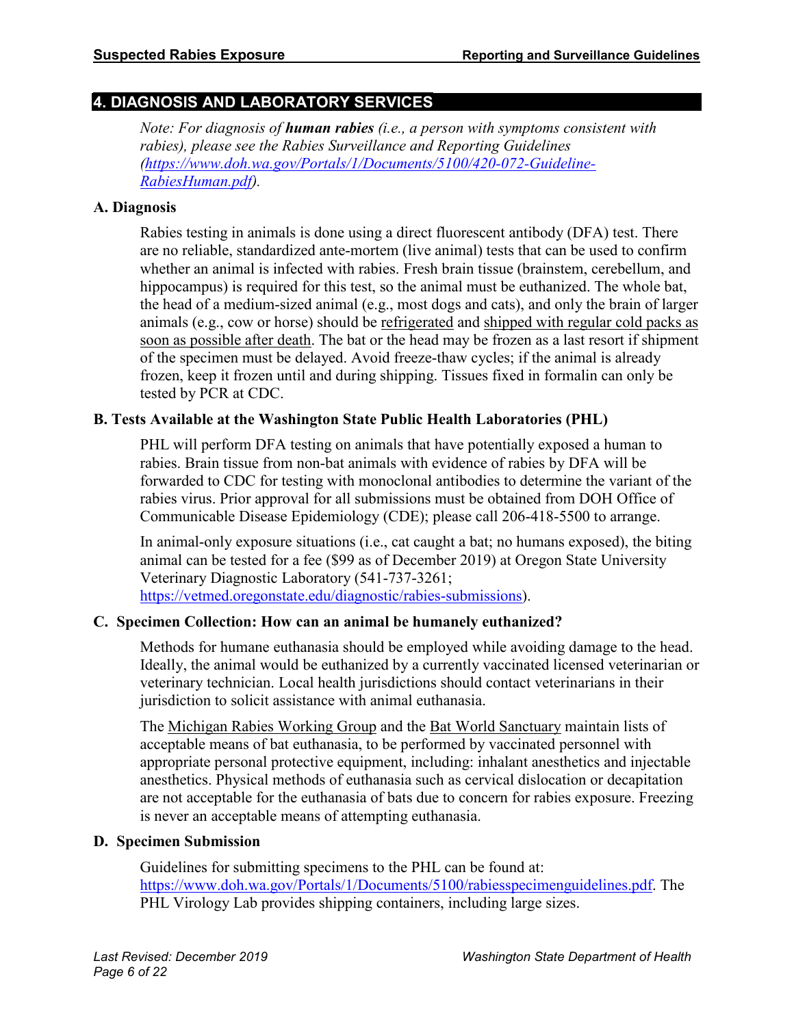# **4. DIAGNOSIS AND LABORATORY SERVICES**

*Note: For diagnosis of human rabies (i.e., a person with symptoms consistent with rabies), please see the Rabies Surveillance and Reporting Guidelines [\(https://www.doh.wa.gov/Portals/1/Documents/5100/420-072-Guideline-](https://www.doh.wa.gov/Portals/1/Documents/5100/420-072-Guideline-RabiesHuman.pdf)[RabiesHuman.pdf\)](https://www.doh.wa.gov/Portals/1/Documents/5100/420-072-Guideline-RabiesHuman.pdf).*

#### **A. Diagnosis**

Rabies testing in animals is done using a direct fluorescent antibody (DFA) test. There are no reliable, standardized ante-mortem (live animal) tests that can be used to confirm whether an animal is infected with rabies. Fresh brain tissue (brainstem, cerebellum, and hippocampus) is required for this test, so the animal must be euthanized. The whole bat, the head of a medium-sized animal (e.g., most dogs and cats), and only the brain of larger animals (e.g., cow or horse) should be refrigerated and shipped with regular cold packs as soon as possible after death. The bat or the head may be frozen as a last resort if shipment of the specimen must be delayed. Avoid freeze-thaw cycles; if the animal is already frozen, keep it frozen until and during shipping. Tissues fixed in formalin can only be tested by PCR at CDC.

#### **B. Tests Available at the Washington State Public Health Laboratories (PHL)**

PHL will perform DFA testing on animals that have potentially exposed a human to rabies. Brain tissue from non-bat animals with evidence of rabies by DFA will be forwarded to CDC for testing with monoclonal antibodies to determine the variant of the rabies virus. Prior approval for all submissions must be obtained from DOH Office of Communicable Disease Epidemiology (CDE); please call 206-418-5500 to arrange.

In animal-only exposure situations (i.e., cat caught a bat; no humans exposed), the biting animal can be tested for a fee (\$99 as of December 2019) at Oregon State University Veterinary Diagnostic Laboratory (541-737-3261; [https://vetmed.oregonstate.edu/diagnostic/rabies-submissions\)](https://vetmed.oregonstate.edu/diagnostic/rabies-submissions).

#### **C. Specimen Collection: How can an animal be humanely euthanized?**

Methods for humane euthanasia should be employed while avoiding damage to the head. Ideally, the animal would be euthanized by a currently vaccinated licensed veterinarian or veterinary technician. Local health jurisdictions should contact veterinarians in their jurisdiction to solicit assistance with animal euthanasia.

The [Michigan Rabies Working Group](https://www.michigan.gov/documents/emergingdiseases/Humane_Euthanasia_of_Bats-Final_244979_7.pdf) and the [Bat World Sanctuary](https://batworld.org/wp-content/uploads/2011/02/BWSposition_statement-euthanasia.pdf) maintain lists of acceptable means of bat euthanasia, to be performed by vaccinated personnel with appropriate personal protective equipment, including: inhalant anesthetics and injectable anesthetics. Physical methods of euthanasia such as cervical dislocation or decapitation are not acceptable for the euthanasia of bats due to concern for rabies exposure. Freezing is never an acceptable means of attempting euthanasia.

#### **D. Specimen Submission**

Guidelines for submitting specimens to the PHL can be found at: [https://www.doh.wa.gov/Portals/1/Documents/5100/rabiesspecimenguidelines.pdf.](https://www.doh.wa.gov/Portals/1/Documents/5100/rabiesspecimenguidelines.pdf) The PHL Virology Lab provides shipping containers, including large sizes.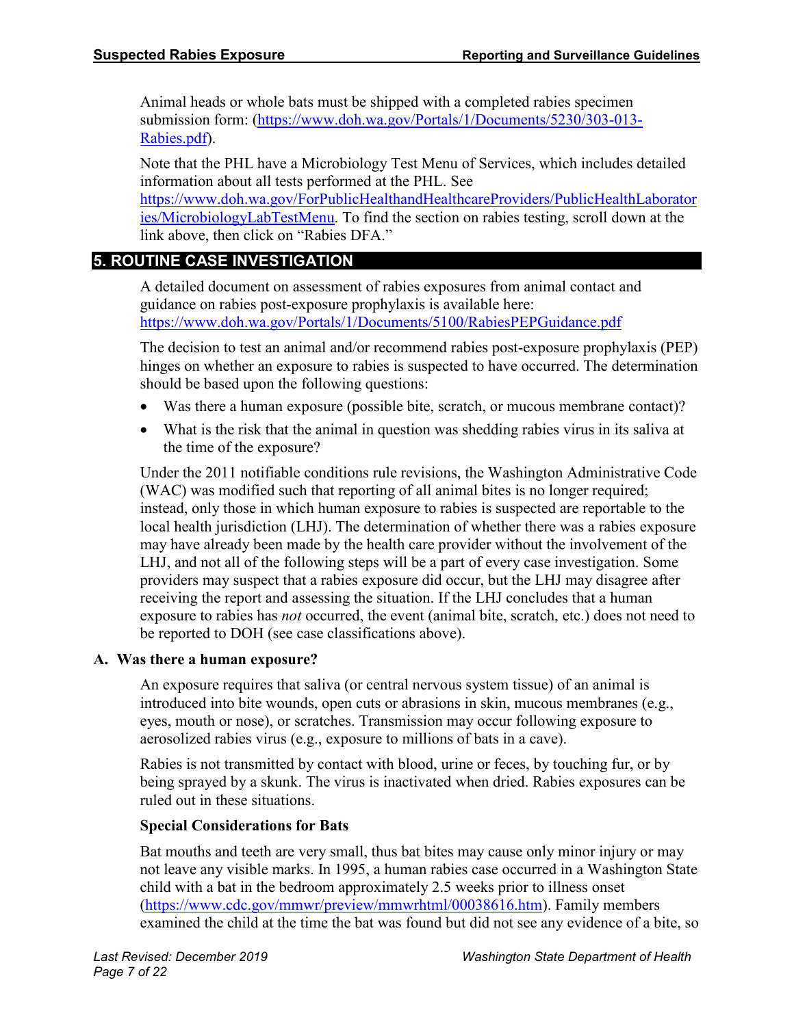Animal heads or whole bats must be shipped with a completed rabies specimen submission form: [\(https://www.doh.wa.gov/Portals/1/Documents/5230/303-013-](https://www.doh.wa.gov/Portals/1/Documents/5230/303-013-Rabies.pdf) [Rabies.pdf\)](https://www.doh.wa.gov/Portals/1/Documents/5230/303-013-Rabies.pdf).

Note that the PHL have a Microbiology Test Menu of Services, which includes detailed information about all tests performed at the PHL. See [https://www.doh.wa.gov/ForPublicHealthandHealthcareProviders/PublicHealthLaborator](https://www.doh.wa.gov/ForPublicHealthandHealthcareProviders/PublicHealthLaboratories/MicrobiologyLabTestMenu) [ies/MicrobiologyLabTestMenu.](https://www.doh.wa.gov/ForPublicHealthandHealthcareProviders/PublicHealthLaboratories/MicrobiologyLabTestMenu) To find the section on rabies testing, scroll down at the

link above, then click on "Rabies DFA."

# **5. ROUTINE CASE INVESTIGATION**

A detailed document on assessment of rabies exposures from animal contact and guidance on rabies post-exposure prophylaxis is available here: <https://www.doh.wa.gov/Portals/1/Documents/5100/RabiesPEPGuidance.pdf>

The decision to test an animal and/or recommend rabies post-exposure prophylaxis (PEP) hinges on whether an exposure to rabies is suspected to have occurred. The determination should be based upon the following questions:

- Was there a human exposure (possible bite, scratch, or mucous membrane contact)?
- What is the risk that the animal in question was shedding rabies virus in its saliva at the time of the exposure?

Under the 2011 notifiable conditions rule revisions, the Washington Administrative Code (WAC) was modified such that reporting of all animal bites is no longer required; instead, only those in which human exposure to rabies is suspected are reportable to the local health jurisdiction (LHJ). The determination of whether there was a rabies exposure may have already been made by the health care provider without the involvement of the LHJ, and not all of the following steps will be a part of every case investigation. Some providers may suspect that a rabies exposure did occur, but the LHJ may disagree after receiving the report and assessing the situation. If the LHJ concludes that a human exposure to rabies has *not* occurred, the event (animal bite, scratch, etc.) does not need to be reported to DOH (see case classifications above).

#### **A. Was there a human exposure?**

An exposure requires that saliva (or central nervous system tissue) of an animal is introduced into bite wounds, open cuts or abrasions in skin, mucous membranes (e.g., eyes, mouth or nose), or scratches. Transmission may occur following exposure to aerosolized rabies virus (e.g., exposure to millions of bats in a cave).

Rabies is not transmitted by contact with blood, urine or feces, by touching fur, or by being sprayed by a skunk. The virus is inactivated when dried. Rabies exposures can be ruled out in these situations.

#### **Special Considerations for Bats**

Bat mouths and teeth are very small, thus bat bites may cause only minor injury or may not leave any visible marks. In 1995, a human rabies case occurred in a Washington State child with a bat in the bedroom approximately 2.5 weeks prior to illness onset [\(https://www.cdc.gov/mmwr/preview/mmwrhtml/00038616.htm\)](https://www.cdc.gov/mmwr/preview/mmwrhtml/00038616.htm). Family members examined the child at the time the bat was found but did not see any evidence of a bite, so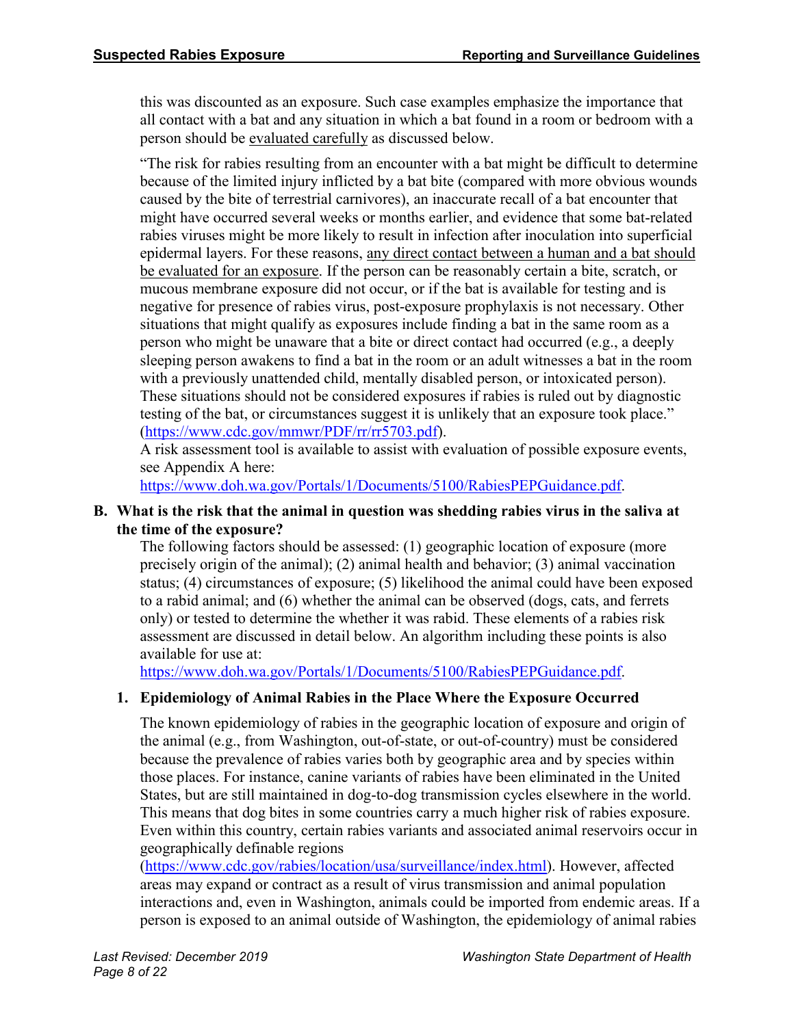this was discounted as an exposure. Such case examples emphasize the importance that all contact with a bat and any situation in which a bat found in a room or bedroom with a person should be evaluated carefully as discussed below.

"The risk for rabies resulting from an encounter with a bat might be difficult to determine because of the limited injury inflicted by a bat bite (compared with more obvious wounds caused by the bite of terrestrial carnivores), an inaccurate recall of a bat encounter that might have occurred several weeks or months earlier, and evidence that some bat-related rabies viruses might be more likely to result in infection after inoculation into superficial epidermal layers. For these reasons, any direct contact between a human and a bat should be evaluated for an exposure. If the person can be reasonably certain a bite, scratch, or mucous membrane exposure did not occur, or if the bat is available for testing and is negative for presence of rabies virus, post-exposure prophylaxis is not necessary. Other situations that might qualify as exposures include finding a bat in the same room as a person who might be unaware that a bite or direct contact had occurred (e.g., a deeply sleeping person awakens to find a bat in the room or an adult witnesses a bat in the room with a previously unattended child, mentally disabled person, or intoxicated person). These situations should not be considered exposures if rabies is ruled out by diagnostic testing of the bat, or circumstances suggest it is unlikely that an exposure took place." [\(https://www.cdc.gov/mmwr/PDF/rr/rr5703.pdf\)](https://www.cdc.gov/mmwr/PDF/rr/rr5703.pdf).

A risk assessment tool is available to assist with evaluation of possible exposure events, see Appendix A here:

[https://www.doh.wa.gov/Portals/1/Documents/5100/RabiesPEPGuidance.pdf.](https://www.doh.wa.gov/Portals/1/Documents/5100/RabiesPEPGuidance.pdf)

#### **B. What is the risk that the animal in question was shedding rabies virus in the saliva at the time of the exposure?**

The following factors should be assessed: (1) geographic location of exposure (more precisely origin of the animal); (2) animal health and behavior; (3) animal vaccination status; (4) circumstances of exposure; (5) likelihood the animal could have been exposed to a rabid animal; and (6) whether the animal can be observed (dogs, cats, and ferrets only) or tested to determine the whether it was rabid. These elements of a rabies risk assessment are discussed in detail below. An algorithm including these points is also available for use at:

[https://www.doh.wa.gov/Portals/1/Documents/5100/RabiesPEPGuidance.pdf.](https://www.doh.wa.gov/Portals/1/Documents/5100/RabiesPEPGuidance.pdf)

#### **1. Epidemiology of Animal Rabies in the Place Where the Exposure Occurred**

The known epidemiology of rabies in the geographic location of exposure and origin of the animal (e.g., from Washington, out-of-state, or out-of-country) must be considered because the prevalence of rabies varies both by geographic area and by species within those places. For instance, canine variants of rabies have been eliminated in the United States, but are still maintained in dog-to-dog transmission cycles elsewhere in the world. This means that dog bites in some countries carry a much higher risk of rabies exposure. Even within this country, certain rabies variants and associated animal reservoirs occur in geographically definable regions

[\(https://www.cdc.gov/rabies/location/usa/surveillance/index.html\)](https://www.cdc.gov/rabies/location/usa/surveillance/index.html). However, affected areas may expand or contract as a result of virus transmission and animal population interactions and, even in Washington, animals could be imported from endemic areas. If a person is exposed to an animal outside of Washington, the epidemiology of animal rabies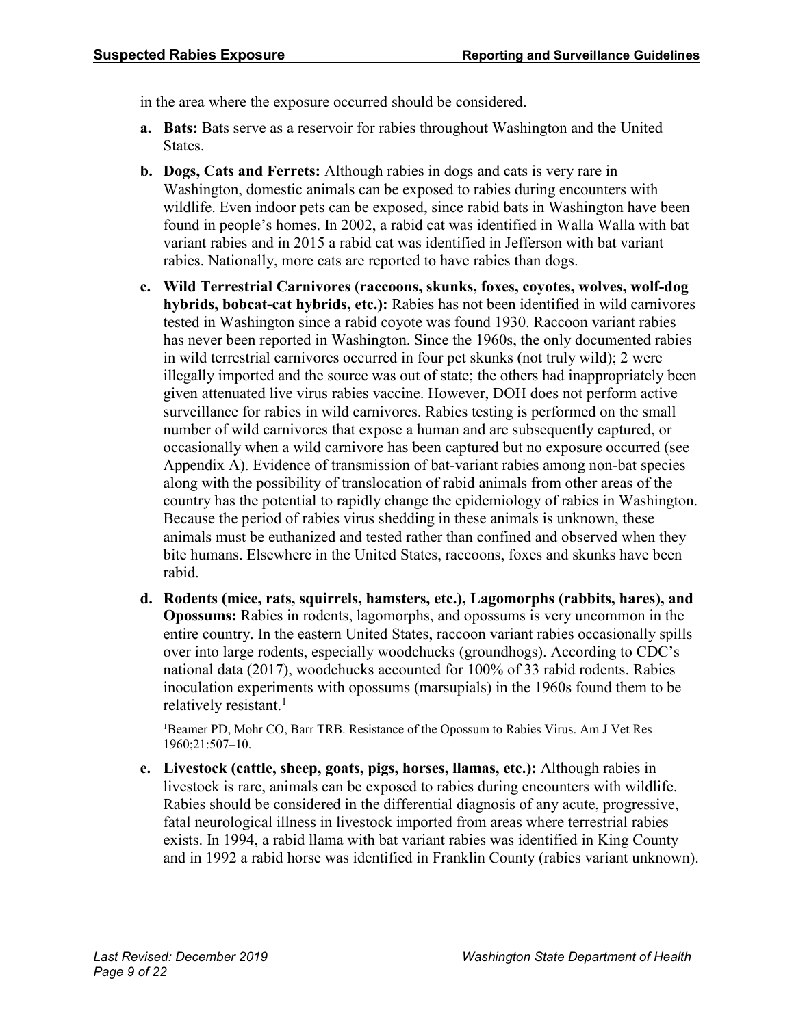in the area where the exposure occurred should be considered.

- **a. Bats:** Bats serve as a reservoir for rabies throughout Washington and the United States.
- **b. Dogs, Cats and Ferrets:** Although rabies in dogs and cats is very rare in Washington, domestic animals can be exposed to rabies during encounters with wildlife. Even indoor pets can be exposed, since rabid bats in Washington have been found in people's homes. In 2002, a rabid cat was identified in Walla Walla with bat variant rabies and in 2015 a rabid cat was identified in Jefferson with bat variant rabies. Nationally, more cats are reported to have rabies than dogs.
- **c. Wild Terrestrial Carnivores (raccoons, skunks, foxes, coyotes, wolves, wolf-dog hybrids, bobcat-cat hybrids, etc.):** Rabies has not been identified in wild carnivores tested in Washington since a rabid coyote was found 1930. Raccoon variant rabies has never been reported in Washington. Since the 1960s, the only documented rabies in wild terrestrial carnivores occurred in four pet skunks (not truly wild); 2 were illegally imported and the source was out of state; the others had inappropriately been given attenuated live virus rabies vaccine. However, DOH does not perform active surveillance for rabies in wild carnivores. Rabies testing is performed on the small number of wild carnivores that expose a human and are subsequently captured, or occasionally when a wild carnivore has been captured but no exposure occurred (see Appendix A). Evidence of transmission of bat-variant rabies among non-bat species along with the possibility of translocation of rabid animals from other areas of the country has the potential to rapidly change the epidemiology of rabies in Washington. Because the period of rabies virus shedding in these animals is unknown, these animals must be euthanized and tested rather than confined and observed when they bite humans. Elsewhere in the United States, raccoons, foxes and skunks have been rabid.
- **d. Rodents (mice, rats, squirrels, hamsters, etc.), Lagomorphs (rabbits, hares), and Opossums:** Rabies in rodents, lagomorphs, and opossums is very uncommon in the entire country. In the eastern United States, raccoon variant rabies occasionally spills over into large rodents, especially woodchucks (groundhogs). According to CDC's national data (2017), woodchucks accounted for 100% of 33 rabid rodents. Rabies inoculation experiments with opossums (marsupials) in the 1960s found them to be relatively resistant. 1

<sup>1</sup>Beamer PD, Mohr CO, Barr TRB. Resistance of the Opossum to Rabies Virus. Am J Vet Res 1960;21:507–10.

**e. Livestock (cattle, sheep, goats, pigs, horses, llamas, etc.):** Although rabies in livestock is rare, animals can be exposed to rabies during encounters with wildlife. Rabies should be considered in the differential diagnosis of any acute, progressive, fatal neurological illness in livestock imported from areas where terrestrial rabies exists. In 1994, a rabid llama with bat variant rabies was identified in King County and in 1992 a rabid horse was identified in Franklin County (rabies variant unknown).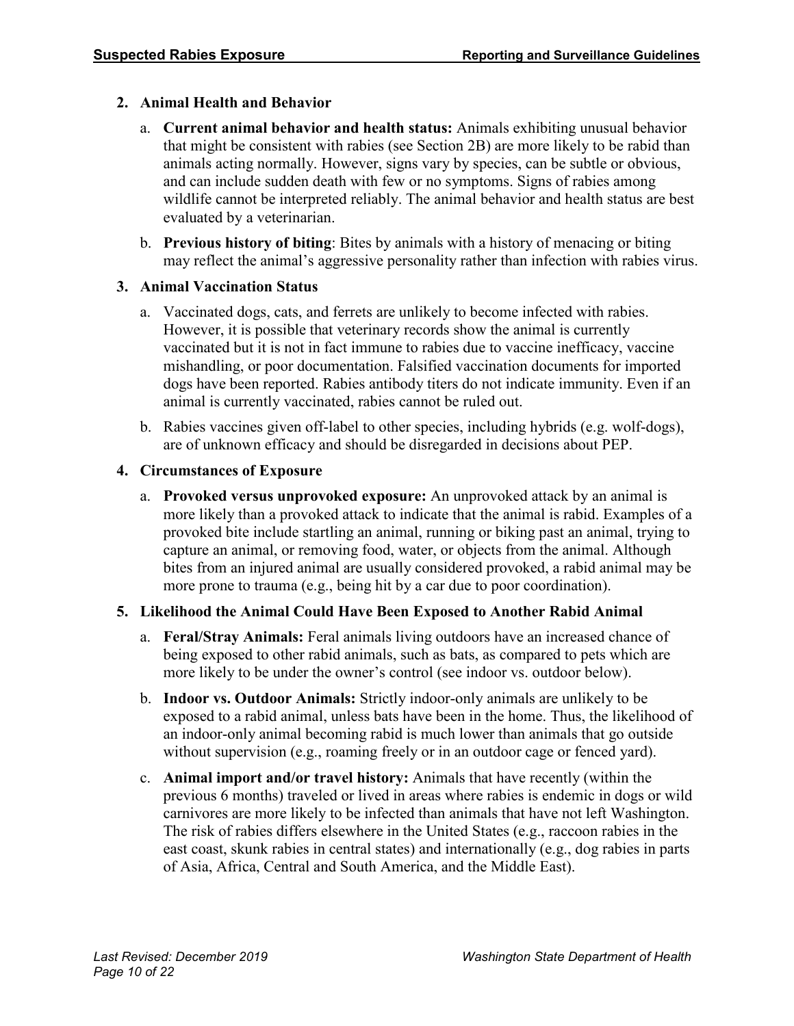#### **2. Animal Health and Behavior**

- a. **Current animal behavior and health status:** Animals exhibiting unusual behavior that might be consistent with rabies (see Section 2B) are more likely to be rabid than animals acting normally. However, signs vary by species, can be subtle or obvious, and can include sudden death with few or no symptoms. Signs of rabies among wildlife cannot be interpreted reliably. The animal behavior and health status are best evaluated by a veterinarian.
- b. **Previous history of biting**: Bites by animals with a history of menacing or biting may reflect the animal's aggressive personality rather than infection with rabies virus.

#### **3. Animal Vaccination Status**

- a. Vaccinated dogs, cats, and ferrets are unlikely to become infected with rabies. However, it is possible that veterinary records show the animal is currently vaccinated but it is not in fact immune to rabies due to vaccine inefficacy, vaccine mishandling, or poor documentation. Falsified vaccination documents for imported dogs have been reported. Rabies antibody titers do not indicate immunity. Even if an animal is currently vaccinated, rabies cannot be ruled out.
- b. Rabies vaccines given off-label to other species, including hybrids (e.g. wolf-dogs), are of unknown efficacy and should be disregarded in decisions about PEP.

#### **4. Circumstances of Exposure**

a. **Provoked versus unprovoked exposure:** An unprovoked attack by an animal is more likely than a provoked attack to indicate that the animal is rabid. Examples of a provoked bite include startling an animal, running or biking past an animal, trying to capture an animal, or removing food, water, or objects from the animal. Although bites from an injured animal are usually considered provoked, a rabid animal may be more prone to trauma (e.g., being hit by a car due to poor coordination).

# **5. Likelihood the Animal Could Have Been Exposed to Another Rabid Animal**

- a. **Feral/Stray Animals:** Feral animals living outdoors have an increased chance of being exposed to other rabid animals, such as bats, as compared to pets which are more likely to be under the owner's control (see indoor vs. outdoor below).
- b. **Indoor vs. Outdoor Animals:** Strictly indoor-only animals are unlikely to be exposed to a rabid animal, unless bats have been in the home. Thus, the likelihood of an indoor-only animal becoming rabid is much lower than animals that go outside without supervision (e.g., roaming freely or in an outdoor cage or fenced yard).
- c. **Animal import and/or travel history:** Animals that have recently (within the previous 6 months) traveled or lived in areas where rabies is endemic in dogs or wild carnivores are more likely to be infected than animals that have not left Washington. The risk of rabies differs elsewhere in the United States (e.g., raccoon rabies in the east coast, skunk rabies in central states) and internationally (e.g., dog rabies in parts of Asia, Africa, Central and South America, and the Middle East).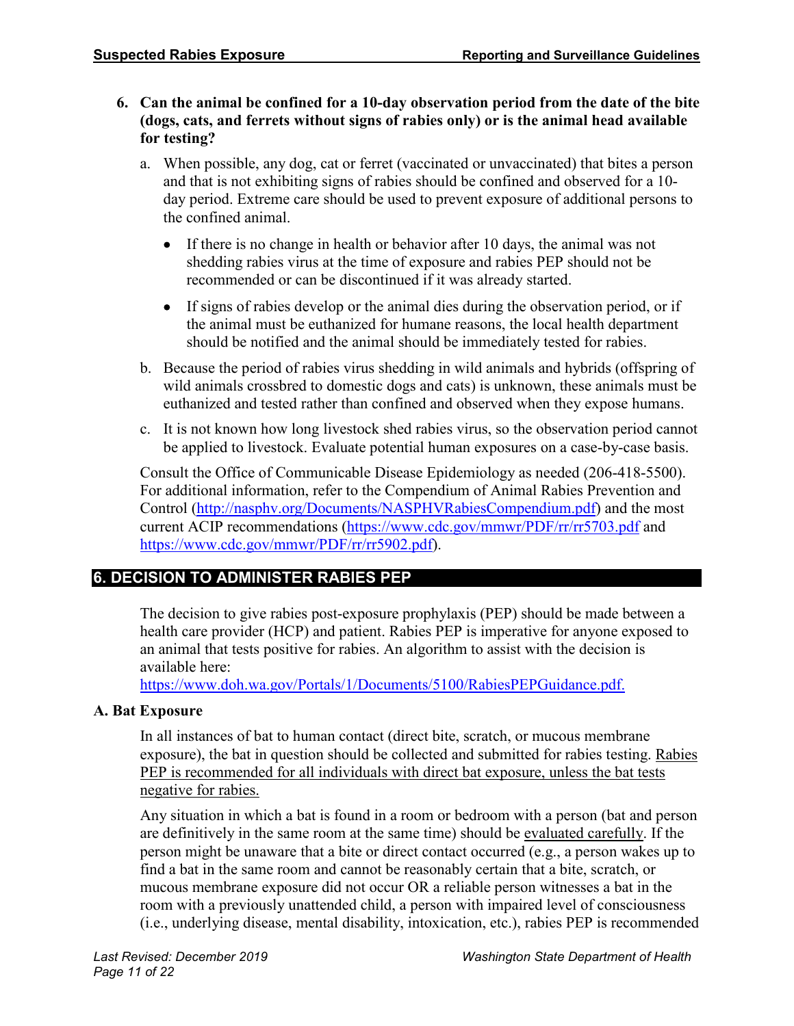- **6. Can the animal be confined for a 10-day observation period from the date of the bite (dogs, cats, and ferrets without signs of rabies only) or is the animal head available for testing?**
	- a. When possible, any dog, cat or ferret (vaccinated or unvaccinated) that bites a person and that is not exhibiting signs of rabies should be confined and observed for a 10 day period. Extreme care should be used to prevent exposure of additional persons to the confined animal.
		- If there is no change in health or behavior after 10 days, the animal was not shedding rabies virus at the time of exposure and rabies PEP should not be recommended or can be discontinued if it was already started.
		- If signs of rabies develop or the animal dies during the observation period, or if the animal must be euthanized for humane reasons, the local health department should be notified and the animal should be immediately tested for rabies.
	- b. Because the period of rabies virus shedding in wild animals and hybrids (offspring of wild animals crossbred to domestic dogs and cats) is unknown, these animals must be euthanized and tested rather than confined and observed when they expose humans.
	- c. It is not known how long livestock shed rabies virus, so the observation period cannot be applied to livestock. Evaluate potential human exposures on a case-by-case basis.

Consult the Office of Communicable Disease Epidemiology as needed (206-418-5500). For additional information, refer to the Compendium of Animal Rabies Prevention and Control [\(http://nasphv.org/Documents/NASPHVRabiesCompendium.pdf\)](http://nasphv.org/Documents/NASPHVRabiesCompendium.pdf) and the most current ACIP recommendations [\(https://www.cdc.gov/mmwr/PDF/rr/rr5703.pdf](https://www.cdc.gov/mmwr/PDF/rr/rr5703.pdf) and [https://www.cdc.gov/mmwr/PDF/rr/rr5902.pdf\)](https://www.cdc.gov/mmwr/PDF/rr/rr5902.pdf).

# **6. DECISION TO ADMINISTER RABIES PEP**

The decision to give rabies post-exposure prophylaxis (PEP) should be made between a health care provider (HCP) and patient. Rabies PEP is imperative for anyone exposed to an animal that tests positive for rabies. An algorithm to assist with the decision is available here:

[https://www.doh.wa.gov/Portals/1/Documents/5100/RabiesPEPGuidance.pdf.](https://www.doh.wa.gov/Portals/1/Documents/5100/RabiesPEPGuidance.pdf)

# **A. Bat Exposure**

In all instances of bat to human contact (direct bite, scratch, or mucous membrane exposure), the bat in question should be collected and submitted for rabies testing. Rabies PEP is recommended for all individuals with direct bat exposure, unless the bat tests negative for rabies.

Any situation in which a bat is found in a room or bedroom with a person (bat and person are definitively in the same room at the same time) should be evaluated carefully. If the person might be unaware that a bite or direct contact occurred (e.g., a person wakes up to find a bat in the same room and cannot be reasonably certain that a bite, scratch, or mucous membrane exposure did not occur OR a reliable person witnesses a bat in the room with a previously unattended child, a person with impaired level of consciousness (i.e., underlying disease, mental disability, intoxication, etc.), rabies PEP is recommended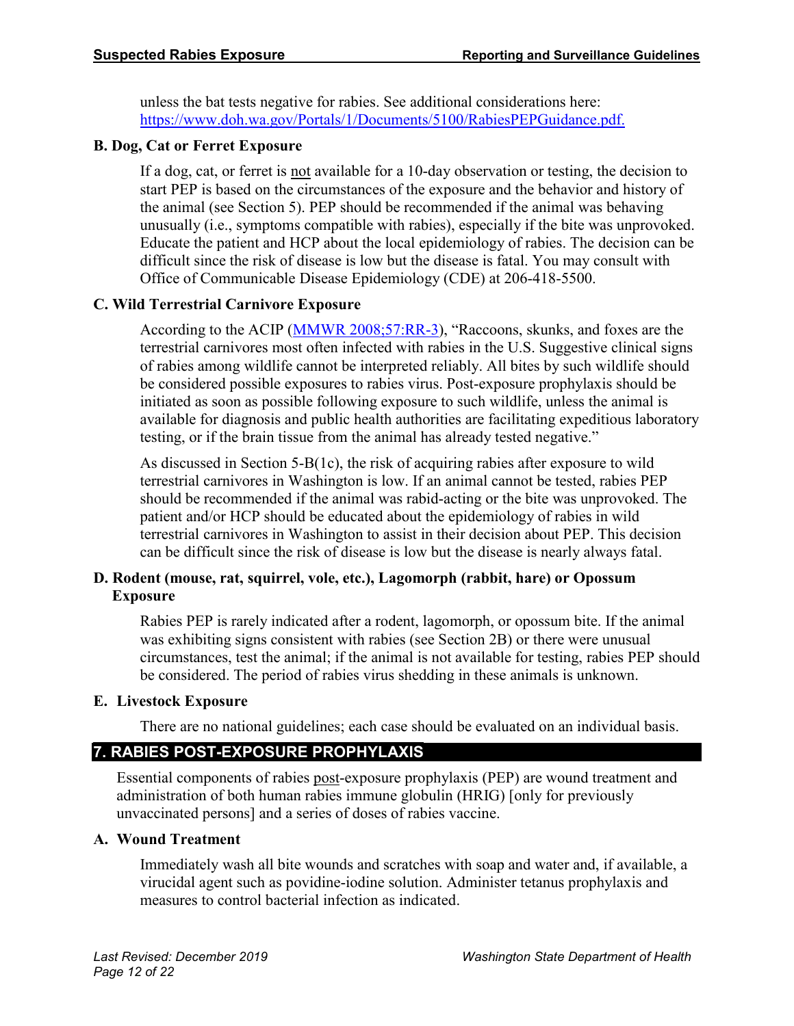unless the bat tests negative for rabies. See additional considerations here: [https://www.doh.wa.gov/Portals/1/Documents/5100/RabiesPEPGuidance.pdf.](https://www.doh.wa.gov/Portals/1/Documents/5100/RabiesPEPGuidance.pdf)

#### **B. Dog, Cat or Ferret Exposure**

If a dog, cat, or ferret is not available for a 10-day observation or testing, the decision to start PEP is based on the circumstances of the exposure and the behavior and history of the animal (see Section 5). PEP should be recommended if the animal was behaving unusually (i.e., symptoms compatible with rabies), especially if the bite was unprovoked. Educate the patient and HCP about the local epidemiology of rabies. The decision can be difficult since the risk of disease is low but the disease is fatal. You may consult with Office of Communicable Disease Epidemiology (CDE) at 206-418-5500.

# **C. Wild Terrestrial Carnivore Exposure**

According to the ACIP [\(MMWR 2008;57:RR-3\)](https://www.cdc.gov/mmwr/PDF/rr/rr5703.pdf), "Raccoons, skunks, and foxes are the terrestrial carnivores most often infected with rabies in the U.S. Suggestive clinical signs of rabies among wildlife cannot be interpreted reliably. All bites by such wildlife should be considered possible exposures to rabies virus. Post-exposure prophylaxis should be initiated as soon as possible following exposure to such wildlife, unless the animal is available for diagnosis and public health authorities are facilitating expeditious laboratory testing, or if the brain tissue from the animal has already tested negative."

As discussed in Section 5-B(1c), the risk of acquiring rabies after exposure to wild terrestrial carnivores in Washington is low. If an animal cannot be tested, rabies PEP should be recommended if the animal was rabid-acting or the bite was unprovoked. The patient and/or HCP should be educated about the epidemiology of rabies in wild terrestrial carnivores in Washington to assist in their decision about PEP. This decision can be difficult since the risk of disease is low but the disease is nearly always fatal.

#### **D. Rodent (mouse, rat, squirrel, vole, etc.), Lagomorph (rabbit, hare) or Opossum Exposure**

Rabies PEP is rarely indicated after a rodent, lagomorph, or opossum bite. If the animal was exhibiting signs consistent with rabies (see Section 2B) or there were unusual circumstances, test the animal; if the animal is not available for testing, rabies PEP should be considered. The period of rabies virus shedding in these animals is unknown.

#### **E. Livestock Exposure**

There are no national guidelines; each case should be evaluated on an individual basis.

# **7. RABIES POST-EXPOSURE PROPHYLAXIS**

Essential components of rabies post-exposure prophylaxis (PEP) are wound treatment and administration of both human rabies immune globulin (HRIG) [only for previously unvaccinated persons] and a series of doses of rabies vaccine.

#### **A. Wound Treatment**

Immediately wash all bite wounds and scratches with soap and water and, if available, a virucidal agent such as povidine-iodine solution. Administer tetanus prophylaxis and measures to control bacterial infection as indicated.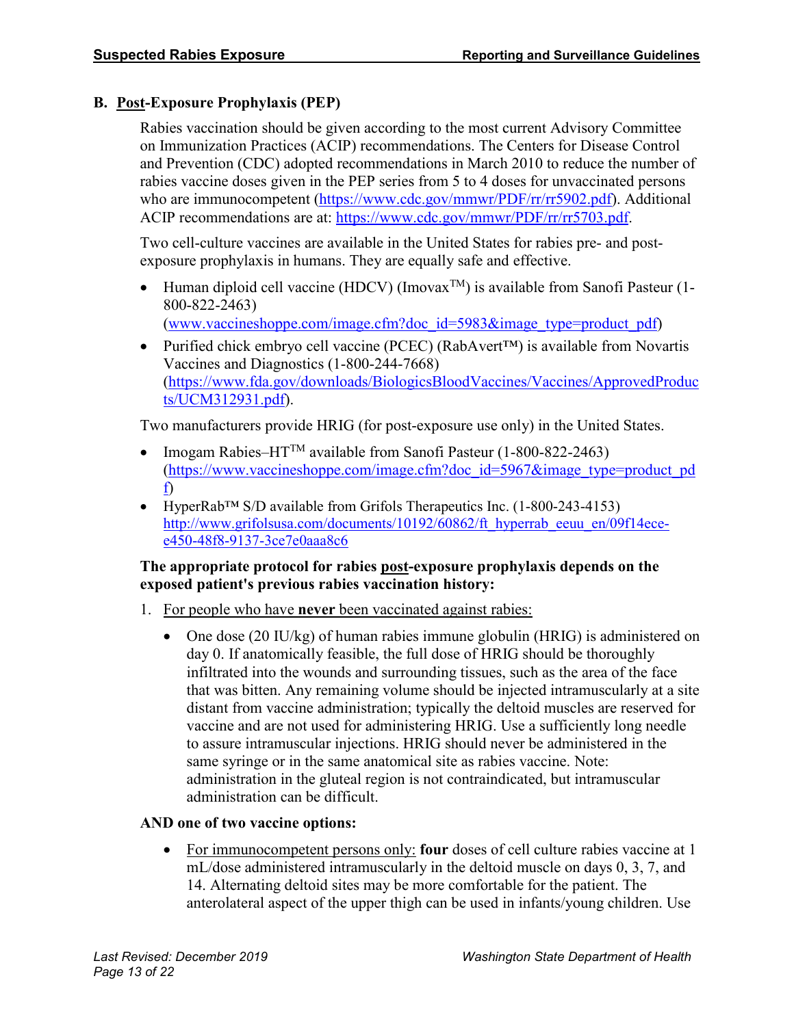# **B. Post-Exposure Prophylaxis (PEP)**

Rabies vaccination should be given according to the most current Advisory Committee on Immunization Practices (ACIP) recommendations. The Centers for Disease Control and Prevention (CDC) adopted recommendations in March 2010 to reduce the number of rabies vaccine doses given in the PEP series from 5 to 4 doses for unvaccinated persons who are immunocompetent [\(https://www.cdc.gov/mmwr/PDF/rr/rr5902.pdf\)](https://www.cdc.gov/mmwr/PDF/rr/rr5902.pdf). Additional ACIP recommendations are at: [https://www.cdc.gov/mmwr/PDF/rr/rr5703.pdf.](https://www.cdc.gov/mmwr/PDF/rr/rr5703.pdf)

Two cell-culture vaccines are available in the United States for rabies pre- and postexposure prophylaxis in humans. They are equally safe and effective.

- Human diploid cell vaccine (HDCV) (Imovax<sup>TM</sup>) is available from Sanofi Pasteur (1-800-822-2463) [\(www.vaccineshoppe.com/image.cfm?doc\\_id=5983&image\\_type=product\\_pdf\)](https://www.vaccineshoppe.com/image.cfm?doc_id=5983&image_type=product_pdf)
- Purified chick embryo cell vaccine (PCEC) (RabAvert™) is available from Novartis Vaccines and Diagnostics (1-800-244-7668) [\(https://www.fda.gov/downloads/BiologicsBloodVaccines/Vaccines/ApprovedProduc](https://www.fda.gov/downloads/BiologicsBloodVaccines/Vaccines/ApprovedProducts/UCM312931.pdf) [ts/UCM312931.pdf\)](https://www.fda.gov/downloads/BiologicsBloodVaccines/Vaccines/ApprovedProducts/UCM312931.pdf).

Two manufacturers provide HRIG (for post-exposure use only) in the United States.

- Imogam Rabies–HT<sup>TM</sup> available from Sanofi Pasteur  $(1-800-822-2463)$ [\(https://www.vaccineshoppe.com/image.cfm?doc\\_id=5967&image\\_type=product\\_pd](https://www.vaccineshoppe.com/image.cfm?doc_id=5967&image_type=product_pdf) [f\)](https://www.vaccineshoppe.com/image.cfm?doc_id=5967&image_type=product_pdf)
- HyperRab™ S/D available from Grifols Therapeutics Inc. (1-800-243-4153) [http://www.grifolsusa.com/documents/10192/60862/ft\\_hyperrab\\_eeuu\\_en/09f14ece](http://www.grifolsusa.com/documents/10192/60862/ft_hyperrab_eeuu_en/09f14ece-e450-48f8-9137-3ce7e0aaa8c6)[e450-48f8-9137-3ce7e0aaa8c6](http://www.grifolsusa.com/documents/10192/60862/ft_hyperrab_eeuu_en/09f14ece-e450-48f8-9137-3ce7e0aaa8c6)

#### **The appropriate protocol for rabies post-exposure prophylaxis depends on the exposed patient's previous rabies vaccination history:**

- 1. For people who have **never** been vaccinated against rabies:
	- One dose (20 IU/kg) of human rabies immune globulin (HRIG) is administered on day 0. If anatomically feasible, the full dose of HRIG should be thoroughly infiltrated into the wounds and surrounding tissues, such as the area of the face that was bitten. Any remaining volume should be injected intramuscularly at a site distant from vaccine administration; typically the deltoid muscles are reserved for vaccine and are not used for administering HRIG. Use a sufficiently long needle to assure intramuscular injections. HRIG should never be administered in the same syringe or in the same anatomical site as rabies vaccine. Note: administration in the gluteal region is not contraindicated, but intramuscular administration can be difficult.

# **AND one of two vaccine options:**

• For immunocompetent persons only: **four** doses of cell culture rabies vaccine at 1 mL/dose administered intramuscularly in the deltoid muscle on days 0, 3, 7, and 14. Alternating deltoid sites may be more comfortable for the patient. The anterolateral aspect of the upper thigh can be used in infants/young children. Use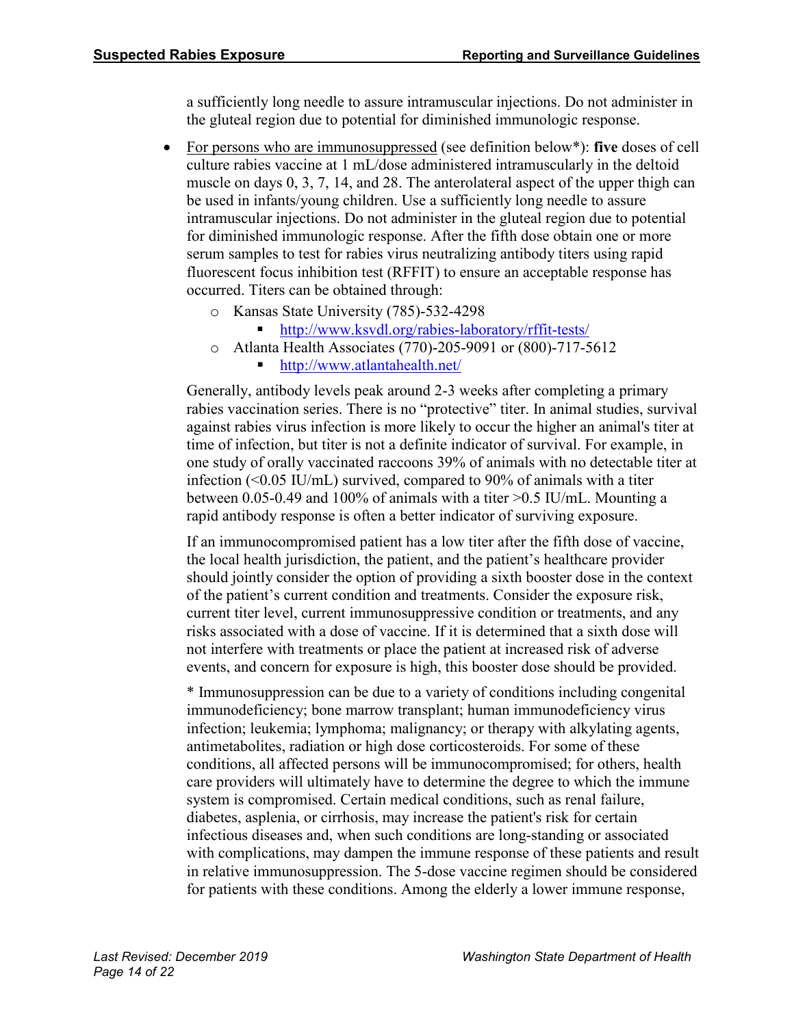a sufficiently long needle to assure intramuscular injections. Do not administer in the gluteal region due to potential for diminished immunologic response.

- For persons who are immunosuppressed (see definition below\*): **five** doses of cell culture rabies vaccine at 1 mL/dose administered intramuscularly in the deltoid muscle on days 0, 3, 7, 14, and 28. The anterolateral aspect of the upper thigh can be used in infants/young children. Use a sufficiently long needle to assure intramuscular injections. Do not administer in the gluteal region due to potential for diminished immunologic response. After the fifth dose obtain one or more serum samples to test for rabies virus neutralizing antibody titers using rapid fluorescent focus inhibition test (RFFIT) to ensure an acceptable response has occurred. Titers can be obtained through:
	- o Kansas State University (785)-532-4298
		- <http://www.ksvdl.org/rabies-laboratory/rffit-tests/>
	- o Atlanta Health Associates (770)-205-9091 or (800)-717-5612
		- <http://www.atlantahealth.net/>

Generally, antibody levels peak around 2-3 weeks after completing a primary rabies vaccination series. There is no "protective" titer. In animal studies, survival against rabies virus infection is more likely to occur the higher an animal's titer at time of infection, but titer is not a definite indicator of survival. For example, in one study of orally vaccinated raccoons 39% of animals with no detectable titer at infection  $(<0.05$  IU/mL) survived, compared to 90% of animals with a titer between 0.05-0.49 and 100% of animals with a titer >0.5 IU/mL. Mounting a rapid antibody response is often a better indicator of surviving exposure.

If an immunocompromised patient has a low titer after the fifth dose of vaccine, the local health jurisdiction, the patient, and the patient's healthcare provider should jointly consider the option of providing a sixth booster dose in the context of the patient's current condition and treatments. Consider the exposure risk, current titer level, current immunosuppressive condition or treatments, and any risks associated with a dose of vaccine. If it is determined that a sixth dose will not interfere with treatments or place the patient at increased risk of adverse events, and concern for exposure is high, this booster dose should be provided.

\* Immunosuppression can be due to a variety of conditions including congenital immunodeficiency; bone marrow transplant; human immunodeficiency virus infection; leukemia; lymphoma; malignancy; or therapy with alkylating agents, antimetabolites, radiation or high dose corticosteroids. For some of these conditions, all affected persons will be immunocompromised; for others, health care providers will ultimately have to determine the degree to which the immune system is compromised. Certain medical conditions, such as renal failure, diabetes, asplenia, or cirrhosis, may increase the patient's risk for certain infectious diseases and, when such conditions are long-standing or associated with complications, may dampen the immune response of these patients and result in relative immunosuppression. The 5-dose vaccine regimen should be considered for patients with these conditions. Among the elderly a lower immune response,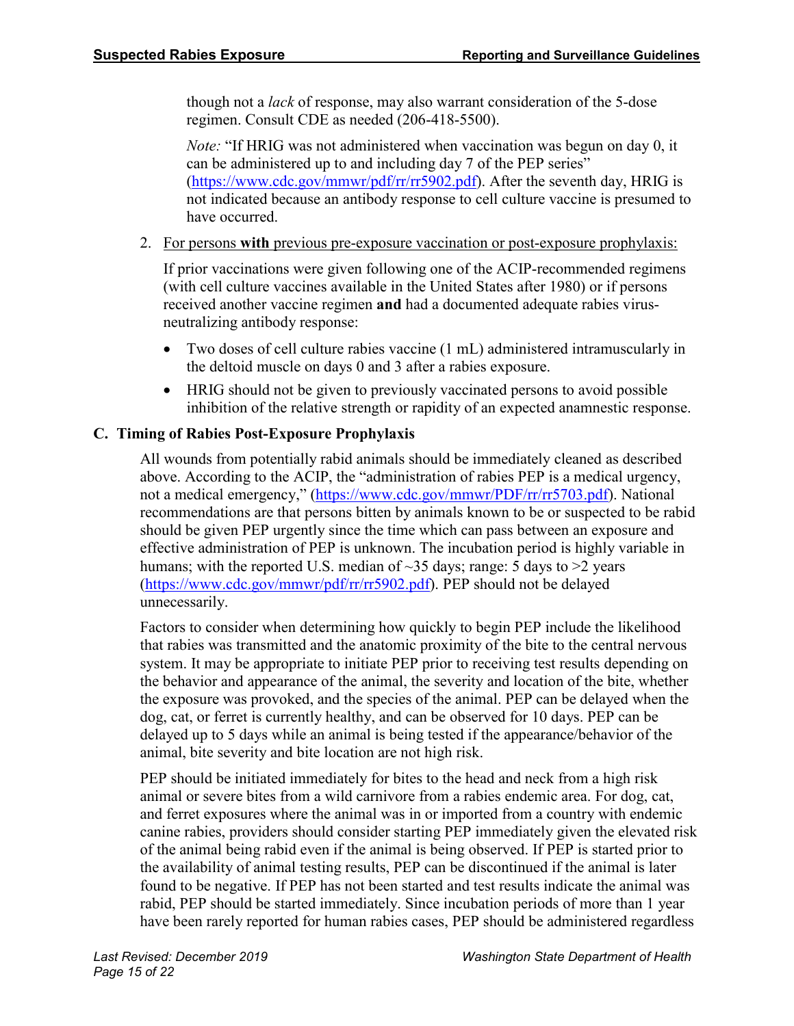though not a *lack* of response, may also warrant consideration of the 5-dose regimen. Consult CDE as needed (206-418-5500).

*Note:* "If HRIG was not administered when vaccination was begun on day 0, it can be administered up to and including day 7 of the PEP series" [\(https://www.cdc.gov/mmwr/pdf/rr/rr5902.pdf\)](https://www.cdc.gov/mmwr/pdf/rr/rr5902.pdf). After the seventh day, HRIG is not indicated because an antibody response to cell culture vaccine is presumed to have occurred.

2. For persons **with** previous pre-exposure vaccination or post-exposure prophylaxis:

If prior vaccinations were given following one of the ACIP-recommended regimens (with cell culture vaccines available in the United States after 1980) or if persons received another vaccine regimen **and** had a documented adequate rabies virusneutralizing antibody response:

- Two doses of cell culture rabies vaccine (1 mL) administered intramuscularly in the deltoid muscle on days 0 and 3 after a rabies exposure.
- HRIG should not be given to previously vaccinated persons to avoid possible inhibition of the relative strength or rapidity of an expected anamnestic response.

#### **C. Timing of Rabies Post-Exposure Prophylaxis**

All wounds from potentially rabid animals should be immediately cleaned as described above. According to the ACIP, the "administration of rabies PEP is a medical urgency, not a medical emergency," [\(https://www.cdc.gov/mmwr/PDF/rr/rr5703.pdf\)](https://www.cdc.gov/mmwr/PDF/rr/rr5703.pdf). National recommendations are that persons bitten by animals known to be or suspected to be rabid should be given PEP urgently since the time which can pass between an exposure and effective administration of PEP is unknown. The incubation period is highly variable in humans; with the reported U.S. median of  $\sim$ 35 days; range: 5 days to  $\geq$  years [\(https://www.cdc.gov/mmwr/pdf/rr/rr5902.pdf\)](https://www.cdc.gov/mmwr/pdf/rr/rr5902.pdf). PEP should not be delayed unnecessarily.

Factors to consider when determining how quickly to begin PEP include the likelihood that rabies was transmitted and the anatomic proximity of the bite to the central nervous system. It may be appropriate to initiate PEP prior to receiving test results depending on the behavior and appearance of the animal, the severity and location of the bite, whether the exposure was provoked, and the species of the animal. PEP can be delayed when the dog, cat, or ferret is currently healthy, and can be observed for 10 days. PEP can be delayed up to 5 days while an animal is being tested if the appearance/behavior of the animal, bite severity and bite location are not high risk.

PEP should be initiated immediately for bites to the head and neck from a high risk animal or severe bites from a wild carnivore from a rabies endemic area. For dog, cat, and ferret exposures where the animal was in or imported from a country with endemic canine rabies, providers should consider starting PEP immediately given the elevated risk of the animal being rabid even if the animal is being observed. If PEP is started prior to the availability of animal testing results, PEP can be discontinued if the animal is later found to be negative. If PEP has not been started and test results indicate the animal was rabid, PEP should be started immediately. Since incubation periods of more than 1 year have been rarely reported for human rabies cases, PEP should be administered regardless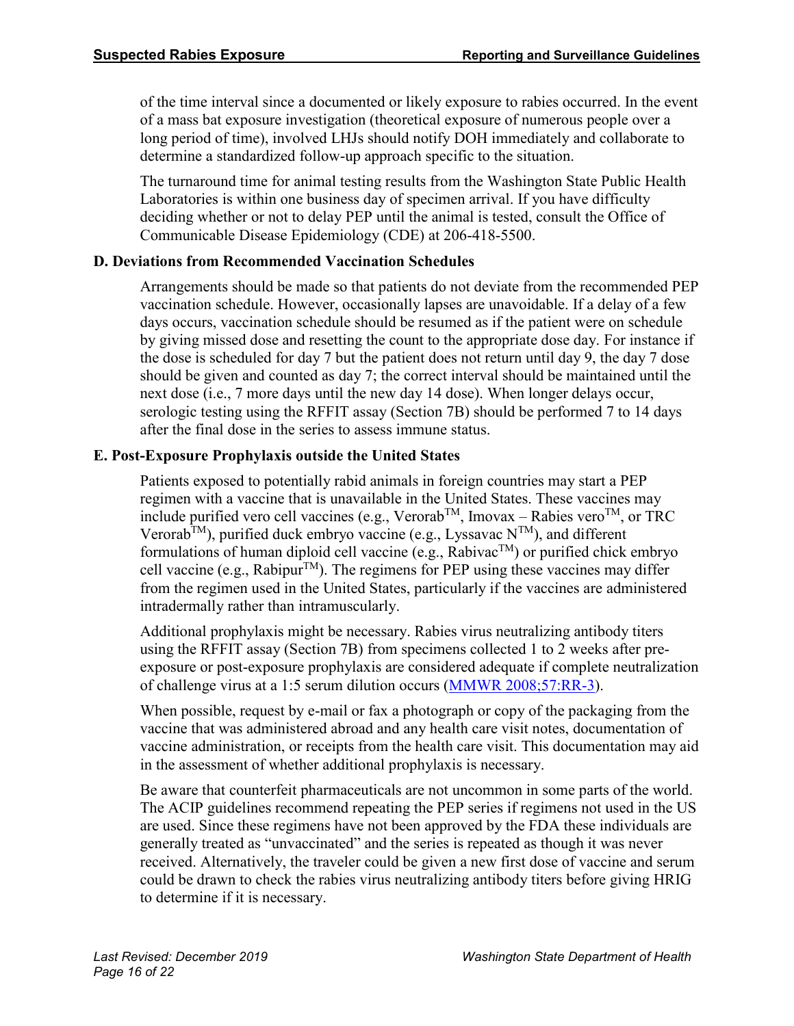of the time interval since a documented or likely exposure to rabies occurred. In the event of a mass bat exposure investigation (theoretical exposure of numerous people over a long period of time), involved LHJs should notify DOH immediately and collaborate to determine a standardized follow-up approach specific to the situation.

The turnaround time for animal testing results from the Washington State Public Health Laboratories is within one business day of specimen arrival. If you have difficulty deciding whether or not to delay PEP until the animal is tested, consult the Office of Communicable Disease Epidemiology (CDE) at 206-418-5500.

# **D. Deviations from Recommended Vaccination Schedules**

Arrangements should be made so that patients do not deviate from the recommended PEP vaccination schedule. However, occasionally lapses are unavoidable. If a delay of a few days occurs, vaccination schedule should be resumed as if the patient were on schedule by giving missed dose and resetting the count to the appropriate dose day. For instance if the dose is scheduled for day 7 but the patient does not return until day 9, the day 7 dose should be given and counted as day 7; the correct interval should be maintained until the next dose (i.e., 7 more days until the new day 14 dose). When longer delays occur, serologic testing using the RFFIT assay (Section 7B) should be performed 7 to 14 days after the final dose in the series to assess immune status.

# **E. Post-Exposure Prophylaxis outside the United States**

Patients exposed to potentially rabid animals in foreign countries may start a PEP regimen with a vaccine that is unavailable in the United States. These vaccines may include purified vero cell vaccines (e.g., Verorab<sup>TM</sup>, Imovax – Rabies vero<sup>TM</sup>, or TRC Verorab<sup>TM</sup>), purified duck embryo vaccine (e.g., Lyssavac  $N^{TM}$ ), and different formulations of human diploid cell vaccine (e.g., Rabivac<sup>TM</sup>) or purified chick embryo cell vaccine (e.g., Rabipur<sup>TM</sup>). The regimens for PEP using these vaccines may differ from the regimen used in the United States, particularly if the vaccines are administered intradermally rather than intramuscularly.

Additional prophylaxis might be necessary. Rabies virus neutralizing antibody titers using the RFFIT assay (Section 7B) from specimens collected 1 to 2 weeks after preexposure or post-exposure prophylaxis are considered adequate if complete neutralization of challenge virus at a 1:5 serum dilution occurs [\(MMWR 2008;57:RR-3\)](https://www.cdc.gov/mmwr/PDF/rr/rr5703.pdf).

When possible, request by e-mail or fax a photograph or copy of the packaging from the vaccine that was administered abroad and any health care visit notes, documentation of vaccine administration, or receipts from the health care visit. This documentation may aid in the assessment of whether additional prophylaxis is necessary.

Be aware that counterfeit pharmaceuticals are not uncommon in some parts of the world. The ACIP guidelines recommend repeating the PEP series if regimens not used in the US are used. Since these regimens have not been approved by the FDA these individuals are generally treated as "unvaccinated" and the series is repeated as though it was never received. Alternatively, the traveler could be given a new first dose of vaccine and serum could be drawn to check the rabies virus neutralizing antibody titers before giving HRIG to determine if it is necessary.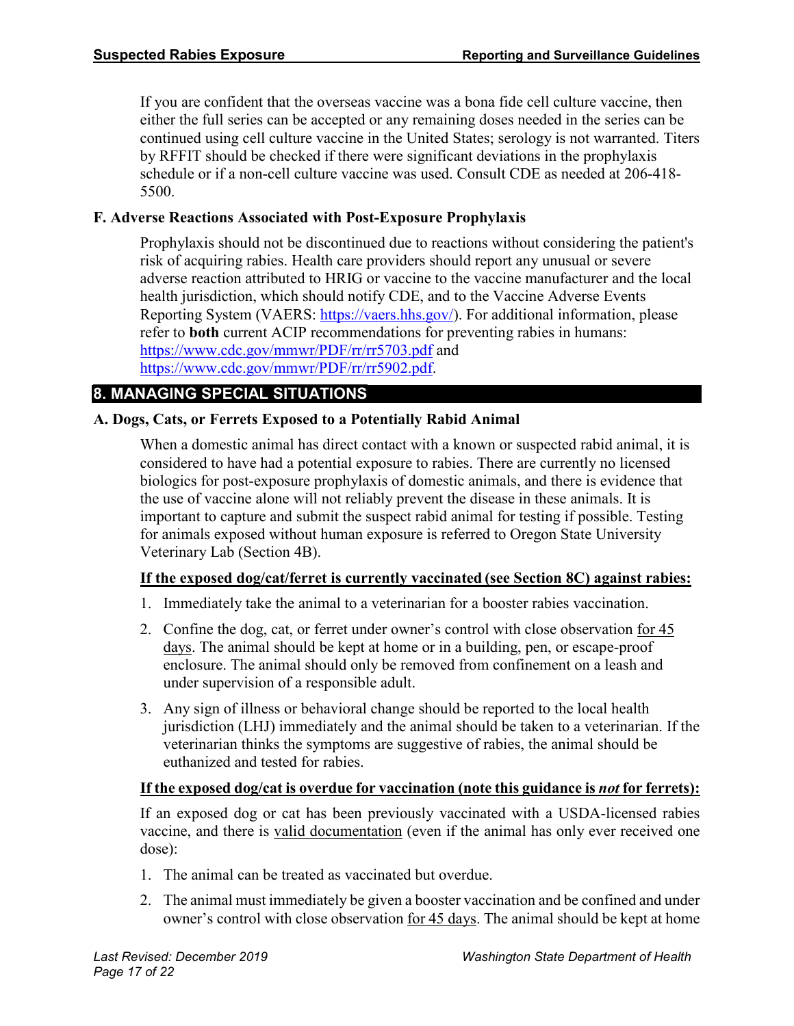If you are confident that the overseas vaccine was a bona fide cell culture vaccine, then either the full series can be accepted or any remaining doses needed in the series can be continued using cell culture vaccine in the United States; serology is not warranted. Titers by RFFIT should be checked if there were significant deviations in the prophylaxis schedule or if a non-cell culture vaccine was used. Consult CDE as needed at 206-418- 5500.

#### **F. Adverse Reactions Associated with Post-Exposure Prophylaxis**

Prophylaxis should not be discontinued due to reactions without considering the patient's risk of acquiring rabies. Health care providers should report any unusual or severe adverse reaction attributed to HRIG or vaccine to the vaccine manufacturer and the local health jurisdiction, which should notify CDE, and to the Vaccine Adverse Events Reporting System (VAERS: [https://vaers.hhs.gov/\)](https://vaers.hhs.gov/). For additional information, please refer to **both** current ACIP recommendations for preventing rabies in humans: <https://www.cdc.gov/mmwr/PDF/rr/rr5703.pdf> and [https://www.cdc.gov/mmwr/PDF/rr/rr5902.pdf.](https://www.cdc.gov/mmwr/PDF/rr/rr5902.pdf)

#### **8. MANAGING SPECIAL SITUATIONS**

#### **A. Dogs, Cats, or Ferrets Exposed to a Potentially Rabid Animal**

When a domestic animal has direct contact with a known or suspected rabid animal, it is considered to have had a potential exposure to rabies. There are currently no licensed biologics for post-exposure prophylaxis of domestic animals, and there is evidence that the use of vaccine alone will not reliably prevent the disease in these animals. It is important to capture and submit the suspect rabid animal for testing if possible. Testing for animals exposed without human exposure is referred to Oregon State University Veterinary Lab (Section 4B).

#### **If the exposed dog/cat/ferret is currently vaccinated (see Section 8C) against rabies:**

- 1. Immediately take the animal to a veterinarian for a booster rabies vaccination.
- 2. Confine the dog, cat, or ferret under owner's control with close observation for 45 days. The animal should be kept at home or in a building, pen, or escape-proof enclosure. The animal should only be removed from confinement on a leash and under supervision of a responsible adult.
- 3. Any sign of illness or behavioral change should be reported to the local health jurisdiction (LHJ) immediately and the animal should be taken to a veterinarian. If the veterinarian thinks the symptoms are suggestive of rabies, the animal should be euthanized and tested for rabies.

#### **If the exposed dog/cat is overdue for vaccination (note this guidance is** *not* **for ferrets):**

If an exposed dog or cat has been previously vaccinated with a USDA-licensed rabies vaccine, and there is valid documentation (even if the animal has only ever received one dose):

- 1. The animal can be treated as vaccinated but overdue.
- 2. The animal must immediately be given a booster vaccination and be confined and under owner's control with close observation for 45 days. The animal should be kept at home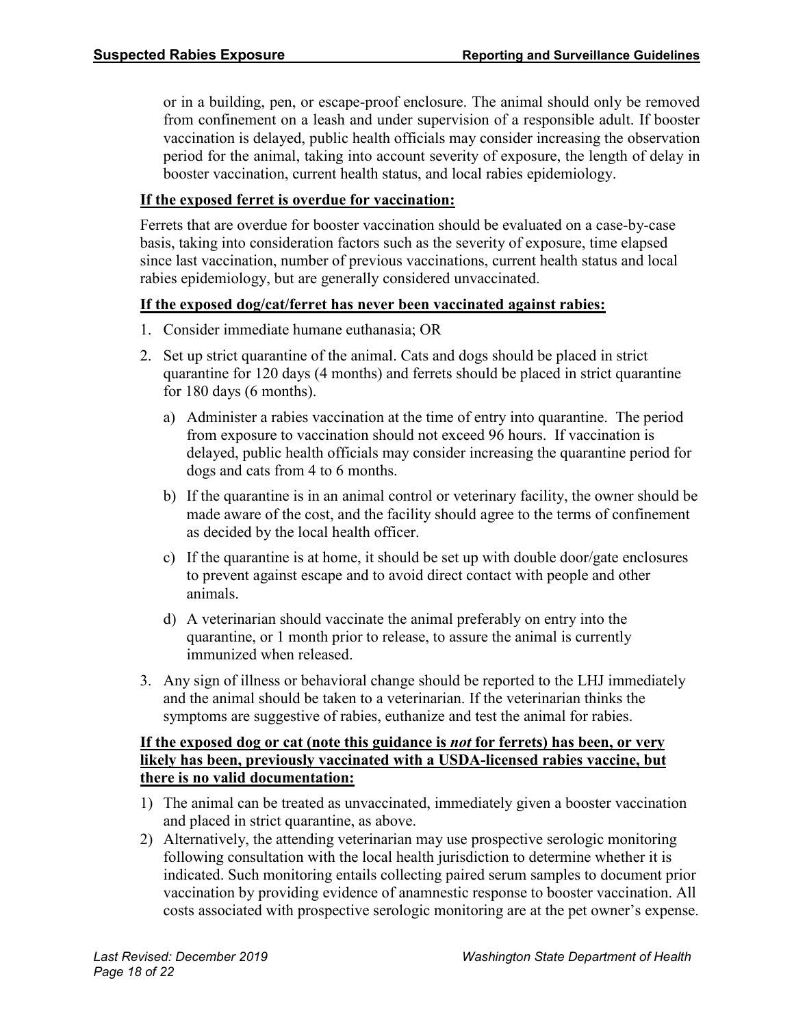or in a building, pen, or escape-proof enclosure. The animal should only be removed from confinement on a leash and under supervision of a responsible adult. If booster vaccination is delayed, public health officials may consider increasing the observation period for the animal, taking into account severity of exposure, the length of delay in booster vaccination, current health status, and local rabies epidemiology.

#### **If the exposed ferret is overdue for vaccination:**

Ferrets that are overdue for booster vaccination should be evaluated on a case-by-case basis, taking into consideration factors such as the severity of exposure, time elapsed since last vaccination, number of previous vaccinations, current health status and local rabies epidemiology, but are generally considered unvaccinated.

#### **If the exposed dog/cat/ferret has never been vaccinated against rabies:**

- 1. Consider immediate humane euthanasia; OR
- 2. Set up strict quarantine of the animal. Cats and dogs should be placed in strict quarantine for 120 days (4 months) and ferrets should be placed in strict quarantine for 180 days (6 months).
	- a) Administer a rabies vaccination at the time of entry into quarantine. The period from exposure to vaccination should not exceed 96 hours. If vaccination is delayed, public health officials may consider increasing the quarantine period for dogs and cats from 4 to 6 months.
	- b) If the quarantine is in an animal control or veterinary facility, the owner should be made aware of the cost, and the facility should agree to the terms of confinement as decided by the local health officer.
	- c) If the quarantine is at home, it should be set up with double door/gate enclosures to prevent against escape and to avoid direct contact with people and other animals.
	- d) A veterinarian should vaccinate the animal preferably on entry into the quarantine, or 1 month prior to release, to assure the animal is currently immunized when released.
- 3. Any sign of illness or behavioral change should be reported to the LHJ immediately and the animal should be taken to a veterinarian. If the veterinarian thinks the symptoms are suggestive of rabies, euthanize and test the animal for rabies.

#### **If the exposed dog or cat (note this guidance is** *not* **for ferrets) has been, or very likely has been, previously vaccinated with a USDA-licensed rabies vaccine, but there is no valid documentation:**

- 1) The animal can be treated as unvaccinated, immediately given a booster vaccination and placed in strict quarantine, as above.
- 2) Alternatively, the attending veterinarian may use prospective serologic monitoring following consultation with the local health jurisdiction to determine whether it is indicated. Such monitoring entails collecting paired serum samples to document prior vaccination by providing evidence of anamnestic response to booster vaccination. All costs associated with prospective serologic monitoring are at the pet owner's expense.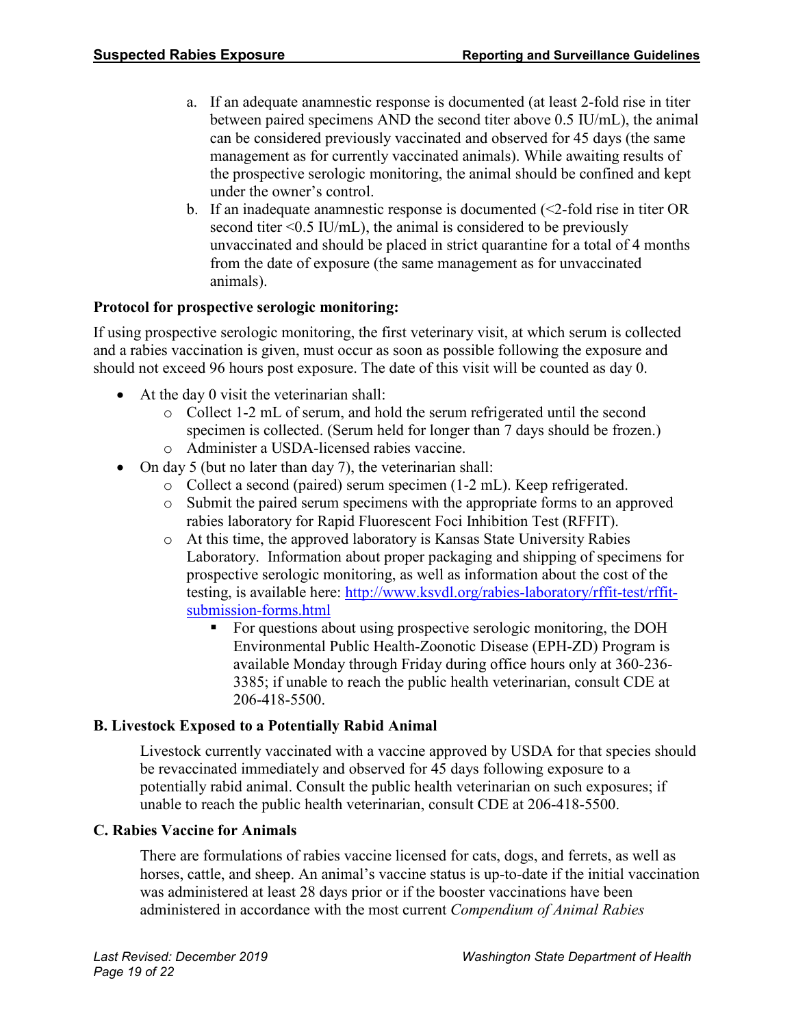- a. If an adequate anamnestic response is documented (at least 2-fold rise in titer between paired specimens AND the second titer above 0.5 IU/mL), the animal can be considered previously vaccinated and observed for 45 days (the same management as for currently vaccinated animals). While awaiting results of the prospective serologic monitoring, the animal should be confined and kept under the owner's control.
- b. If an inadequate anamnestic response is documented (<2-fold rise in titer OR second titer  $\leq 0.5$  IU/mL), the animal is considered to be previously unvaccinated and should be placed in strict quarantine for a total of 4 months from the date of exposure (the same management as for unvaccinated animals).

#### **Protocol for prospective serologic monitoring:**

If using prospective serologic monitoring, the first veterinary visit, at which serum is collected and a rabies vaccination is given, must occur as soon as possible following the exposure and should not exceed 96 hours post exposure. The date of this visit will be counted as day 0.

- At the day 0 visit the veterinarian shall:
	- o Collect 1-2 mL of serum, and hold the serum refrigerated until the second specimen is collected. (Serum held for longer than 7 days should be frozen.)
	- o Administer a USDA-licensed rabies vaccine.
- On day 5 (but no later than day 7), the veterinarian shall:
	- o Collect a second (paired) serum specimen (1-2 mL). Keep refrigerated.
	- o Submit the paired serum specimens with the appropriate forms to an approved rabies laboratory for Rapid Fluorescent Foci Inhibition Test (RFFIT).
	- o At this time, the approved laboratory is Kansas State University Rabies Laboratory. Information about proper packaging and shipping of specimens for prospective serologic monitoring, as well as information about the cost of the testing, is available here: [http://www.ksvdl.org/rabies-laboratory/rffit-test/rffit](http://www.ksvdl.org/rabies-laboratory/rffit-test/rffit-submission-forms.html)[submission-forms.html](http://www.ksvdl.org/rabies-laboratory/rffit-test/rffit-submission-forms.html)
		- For questions about using prospective serologic monitoring, the DOH Environmental Public Health-Zoonotic Disease (EPH-ZD) Program is available Monday through Friday during office hours only at 360-236- 3385; if unable to reach the public health veterinarian, consult CDE at 206-418-5500.

#### **B. Livestock Exposed to a Potentially Rabid Animal**

Livestock currently vaccinated with a vaccine approved by USDA for that species should be revaccinated immediately and observed for 45 days following exposure to a potentially rabid animal. Consult the public health veterinarian on such exposures; if unable to reach the public health veterinarian, consult CDE at 206-418-5500.

#### **C. Rabies Vaccine for Animals**

There are formulations of rabies vaccine licensed for cats, dogs, and ferrets, as well as horses, cattle, and sheep. An animal's vaccine status is up-to-date if the initial vaccination was administered at least 28 days prior or if the booster vaccinations have been administered in accordance with the most current *Compendium of Animal Rabies*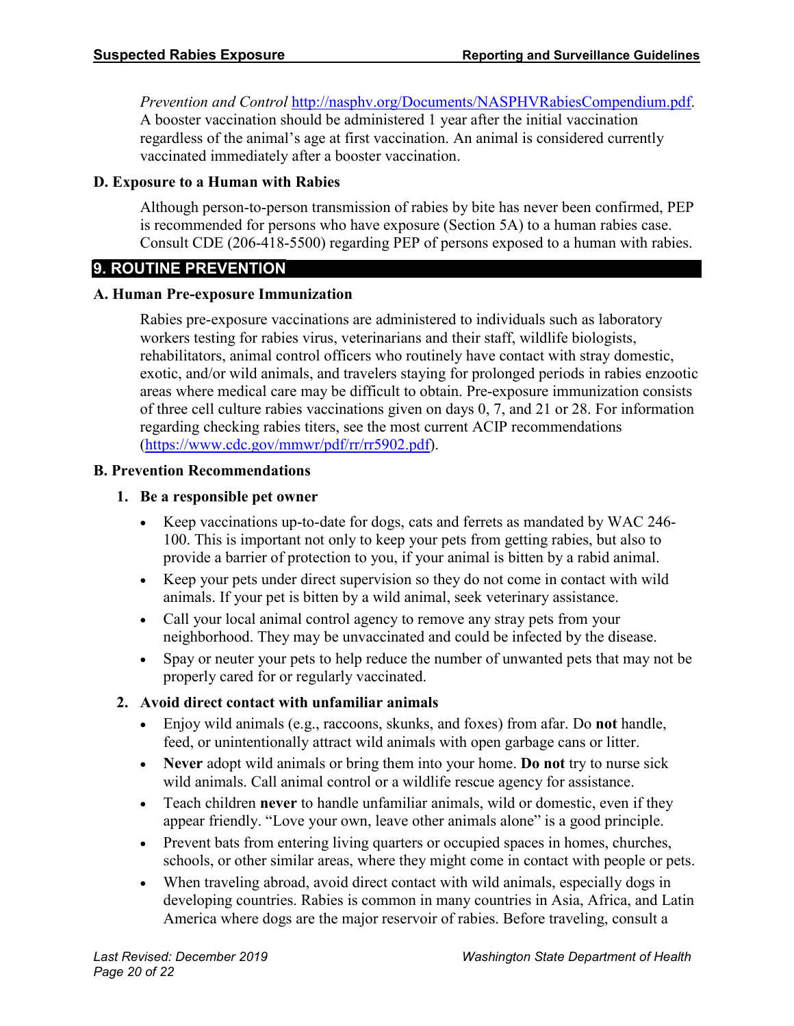*Prevention and Control* [http://nasphv.org/Documents/NASPHVRabiesCompendium.pdf.](http://nasphv.org/Documents/NASPHVRabiesCompendium.pdf)

A booster vaccination should be administered 1 year after the initial vaccination regardless of the animal's age at first vaccination. An animal is considered currently vaccinated immediately after a booster vaccination.

#### **D. Exposure to a Human with Rabies**

Although person-to-person transmission of rabies by bite has never been confirmed, PEP is recommended for persons who have exposure (Section 5A) to a human rabies case. Consult CDE (206-418-5500) regarding PEP of persons exposed to a human with rabies.

#### **9. ROUTINE PREVENTION**

#### **A. Human Pre-exposure Immunization**

Rabies pre-exposure vaccinations are administered to individuals such as laboratory workers testing for rabies virus, veterinarians and their staff, wildlife biologists, rehabilitators, animal control officers who routinely have contact with stray domestic, exotic, and/or wild animals, and travelers staying for prolonged periods in rabies enzootic areas where medical care may be difficult to obtain. Pre-exposure immunization consists of three cell culture rabies vaccinations given on days 0, 7, and 21 or 28. For information regarding checking rabies titers, see the most current ACIP recommendations [\(https://www.cdc.gov/mmwr/pdf/rr/rr5902.pdf\)](https://www.cdc.gov/mmwr/pdf/rr/rr5902.pdf).

#### **B. Prevention Recommendations**

#### **1. Be a responsible pet owner**

- Keep vaccinations up-to-date for dogs, cats and ferrets as mandated by WAC 246- 100. This is important not only to keep your pets from getting rabies, but also to provide a barrier of protection to you, if your animal is bitten by a rabid animal.
- Keep your pets under direct supervision so they do not come in contact with wild animals. If your pet is bitten by a wild animal, seek veterinary assistance.
- Call your local animal control agency to remove any stray pets from your neighborhood. They may be unvaccinated and could be infected by the disease.
- Spay or neuter your pets to help reduce the number of unwanted pets that may not be properly cared for or regularly vaccinated.

#### **2. Avoid direct contact with unfamiliar animals**

- Enjoy wild animals (e.g., raccoons, skunks, and foxes) from afar. Do **not** handle, feed, or unintentionally attract wild animals with open garbage cans or litter.
- **Never** adopt wild animals or bring them into your home. **Do not** try to nurse sick wild animals. Call animal control or a wildlife rescue agency for assistance.
- Teach children **never** to handle unfamiliar animals, wild or domestic, even if they appear friendly. "Love your own, leave other animals alone" is a good principle.
- Prevent bats from entering living quarters or occupied spaces in homes, churches, schools, or other similar areas, where they might come in contact with people or pets.
- When traveling abroad, avoid direct contact with wild animals, especially dogs in developing countries. Rabies is common in many countries in Asia, Africa, and Latin America where dogs are the major reservoir of rabies. Before traveling, consult a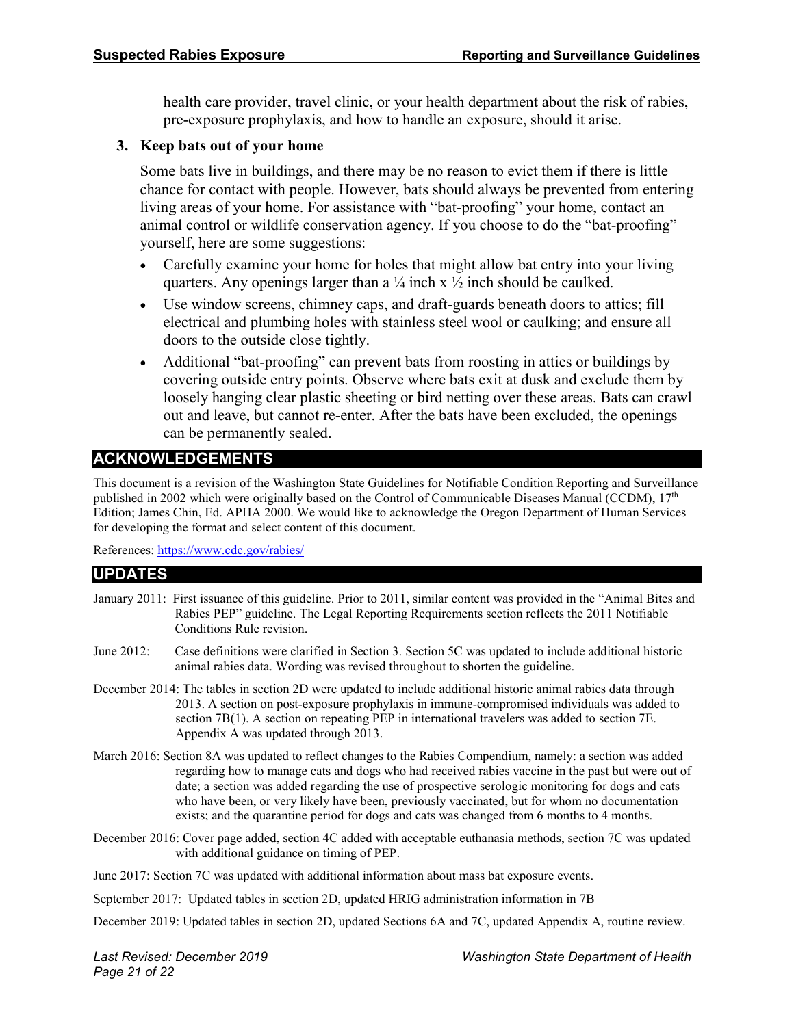health care provider, travel clinic, or your health department about the risk of rabies, pre-exposure prophylaxis, and how to handle an exposure, should it arise.

#### **3. Keep bats out of your home**

Some bats live in buildings, and there may be no reason to evict them if there is little chance for contact with people. However, bats should always be prevented from entering living areas of your home. For assistance with "bat-proofing" your home, contact an animal control or wildlife conservation agency. If you choose to do the "bat-proofing" yourself, here are some suggestions:

- Carefully examine your home for holes that might allow bat entry into your living quarters. Any openings larger than a  $\frac{1}{4}$  inch x  $\frac{1}{2}$  inch should be caulked.
- Use window screens, chimney caps, and draft-guards beneath doors to attics; fill electrical and plumbing holes with stainless steel wool or caulking; and ensure all doors to the outside close tightly.
- Additional "bat-proofing" can prevent bats from roosting in attics or buildings by covering outside entry points. Observe where bats exit at dusk and exclude them by loosely hanging clear plastic sheeting or bird netting over these areas. Bats can crawl out and leave, but cannot re-enter. After the bats have been excluded, the openings can be permanently sealed.

#### **ACKNOWLEDGEMENTS**

This document is a revision of the Washington State Guidelines for Notifiable Condition Reporting and Surveillance published in 2002 which were originally based on the Control of Communicable Diseases Manual (CCDM), 17<sup>th</sup> Edition; James Chin, Ed. APHA 2000. We would like to acknowledge the Oregon Department of Human Services for developing the format and select content of this document.

References[: https://www.cdc.gov/rabies/](https://www.cdc.gov/rabies/)

#### **UPDATES**

| January 2011: First issuance of this guideline. Prior to 2011, similar content was provided in the "Animal Bites and |
|----------------------------------------------------------------------------------------------------------------------|
| Rabies PEP" guideline. The Legal Reporting Requirements section reflects the 2011 Notifiable                         |
| Conditions Rule revision.                                                                                            |

- June 2012: Case definitions were clarified in Section 3. Section 5C was updated to include additional historic animal rabies data. Wording was revised throughout to shorten the guideline.
- December 2014: The tables in section 2D were updated to include additional historic animal rabies data through 2013. A section on post-exposure prophylaxis in immune-compromised individuals was added to section 7B(1). A section on repeating PEP in international travelers was added to section 7E. Appendix A was updated through 2013.
- March 2016: Section 8A was updated to reflect changes to the Rabies Compendium, namely: a section was added regarding how to manage cats and dogs who had received rabies vaccine in the past but were out of date; a section was added regarding the use of prospective serologic monitoring for dogs and cats who have been, or very likely have been, previously vaccinated, but for whom no documentation exists; and the quarantine period for dogs and cats was changed from 6 months to 4 months.
- December 2016: Cover page added, section 4C added with acceptable euthanasia methods, section 7C was updated with additional guidance on timing of PEP.
- June 2017: Section 7C was updated with additional information about mass bat exposure events.

September 2017: Updated tables in section 2D, updated HRIG administration information in 7B

December 2019: Updated tables in section 2D, updated Sections 6A and 7C, updated Appendix A, routine review.